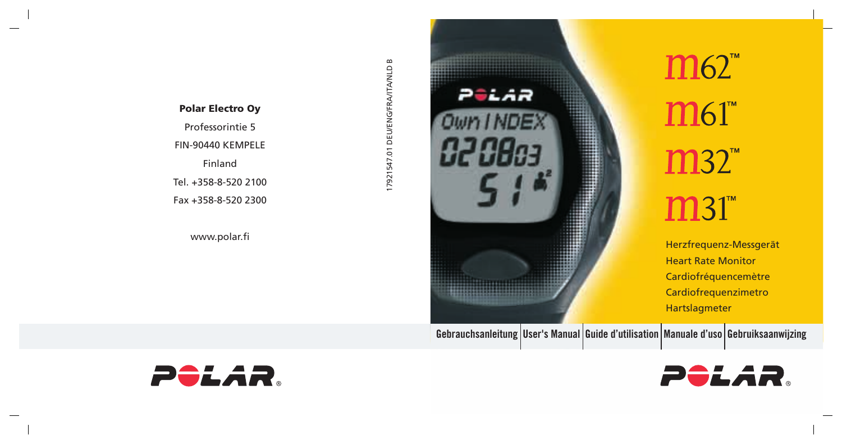### **Polar Electro Oy**

Professorintie 5 FIN-90440 KEMPELE Finland Tel. +358-8-520 2100 Fax +358-8-520 2300

Palar H H www.polar.fi **Herzfrequenz-Messgerät** 

17921547.01 DEU/ENG/FRA/ITA/NLD B

17921547.01 DEU/ENG/FRA/ITA/NLD B

 $m62$ <sup>"</sup>  $M61$ m32  $m31$ 

> Heart Rate Monitor Cardiofréquencemètre Cardiofrequenzimetro Hartslagmeter

Gebrauchsanleitung User's Manual Guide d'utilisation Manuale d'uso Gebruiksaanwijzing



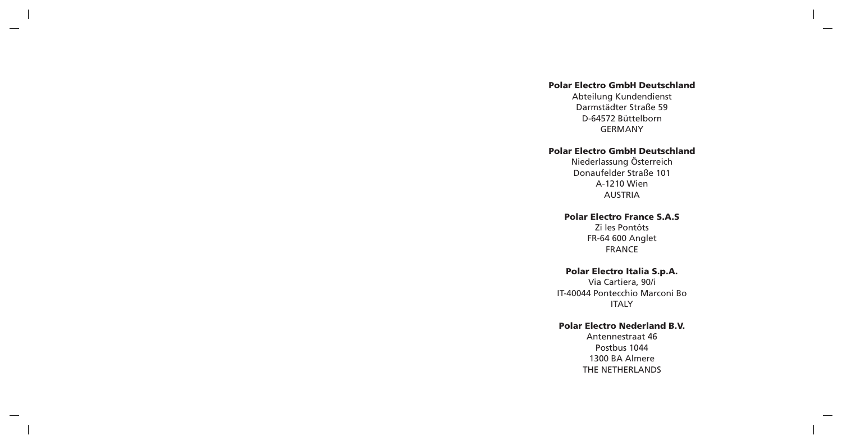### **Polar Electro GmbH Deutschland**

Abteilung Kundendienst Darmstädter Straße 59 D-64572 Büttelborn GERMANY

### **Polar Electro GmbH Deutschland**

Niederlassung Österreich Donaufelder Straße 101 A-1210 Wien AUSTRIA

### **Polar Electro France S.A.S**

Zi les Pontôts FR-64 600 Anglet FRANCE

### **Polar Electro Italia S.p.A.**

Via Cartiera, 90/i IT-40044 Pontecchio Marconi Bo **ITALY** 

### **Polar Electro Nederland B.V.**

Antennestraat 46 Postbus 1044 1300 BA Almere THE NETHERLANDS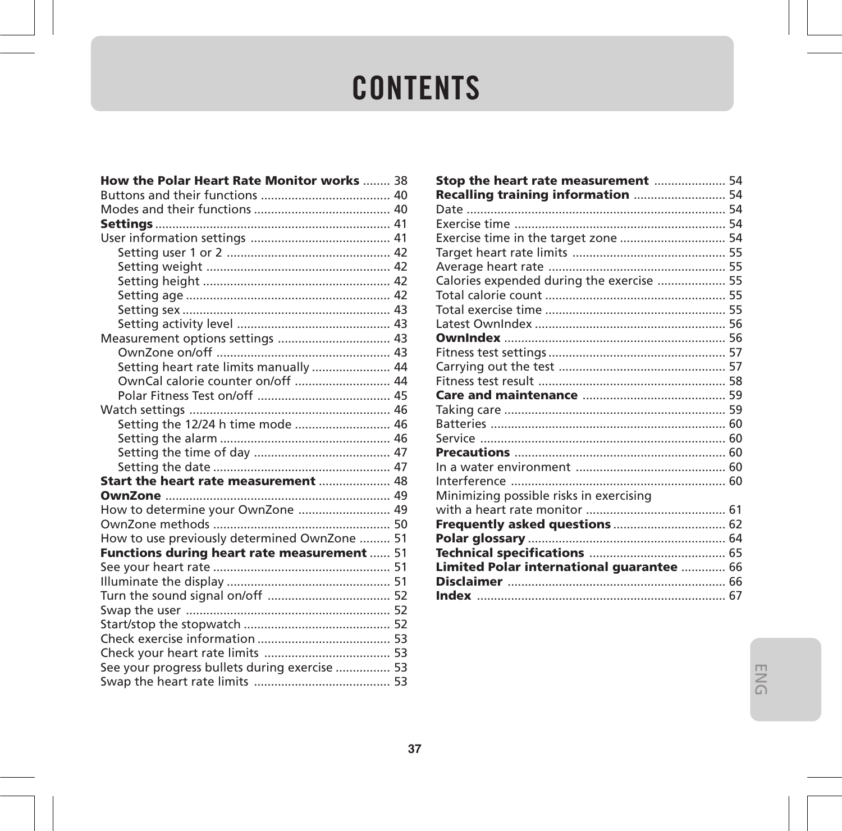## **CONTENTS**

| How the Polar Heart Rate Monitor works  38    |  |
|-----------------------------------------------|--|
|                                               |  |
|                                               |  |
|                                               |  |
|                                               |  |
|                                               |  |
|                                               |  |
|                                               |  |
|                                               |  |
|                                               |  |
|                                               |  |
|                                               |  |
|                                               |  |
| Setting heart rate limits manually  44        |  |
| OwnCal calorie counter on/off  44             |  |
|                                               |  |
|                                               |  |
| Setting the 12/24 h time mode  46             |  |
|                                               |  |
|                                               |  |
|                                               |  |
| Start the heart rate measurement  48          |  |
|                                               |  |
| How to determine your OwnZone  49             |  |
|                                               |  |
| How to use previously determined OwnZone  51  |  |
| Functions during heart rate measurement  51   |  |
|                                               |  |
|                                               |  |
|                                               |  |
|                                               |  |
|                                               |  |
|                                               |  |
|                                               |  |
| See your progress bullets during exercise  53 |  |
|                                               |  |

| Stop the heart rate measurement  54       |  |
|-------------------------------------------|--|
| Recalling training information  54        |  |
|                                           |  |
|                                           |  |
| Exercise time in the target zone  54      |  |
|                                           |  |
|                                           |  |
| Calories expended during the exercise  55 |  |
|                                           |  |
|                                           |  |
|                                           |  |
|                                           |  |
|                                           |  |
|                                           |  |
|                                           |  |
|                                           |  |
|                                           |  |
|                                           |  |
|                                           |  |
|                                           |  |
|                                           |  |
|                                           |  |
| Minimizing possible risks in exercising   |  |
|                                           |  |
|                                           |  |
|                                           |  |
|                                           |  |
| Limited Polar international guarantee  66 |  |
|                                           |  |
|                                           |  |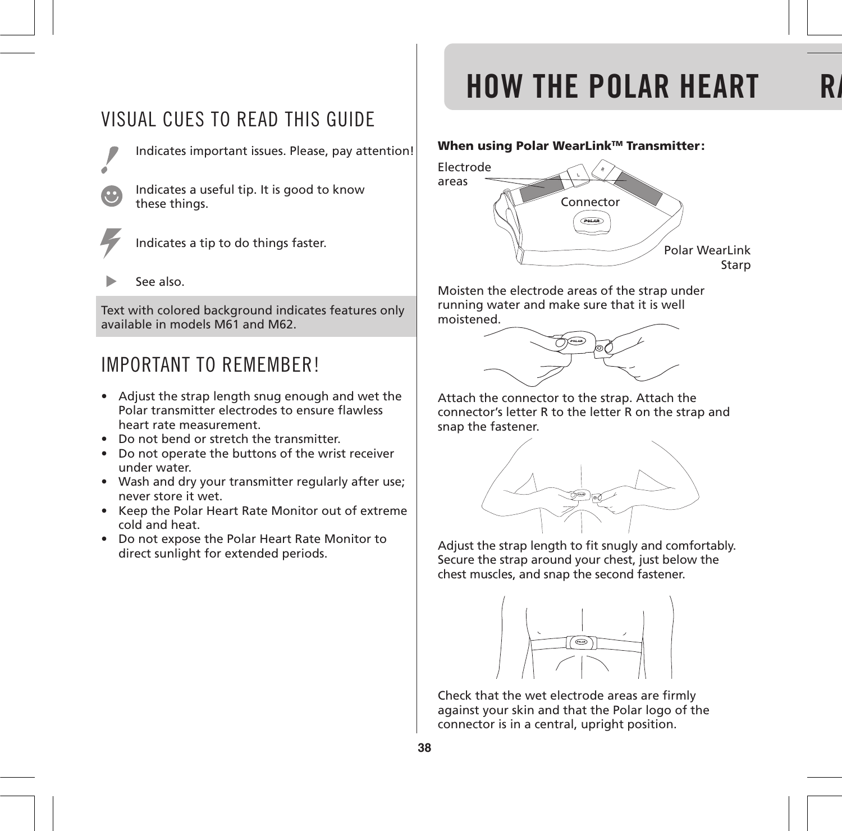### VISUAL CUES TO READ THIS GUIDE



Indicates important issues. Please, pay attention!

Indicates a useful tip. It is good to know these things.



Indicates a tip to do things faster.

See also.

Text with colored background indicates features only available in models M61 and M62.

### IMPORTANT TO REMEMBER!

- Adjust the strap length snug enough and wet the Polar transmitter electrodes to ensure flawless heart rate measurement.
- Do not bend or stretch the transmitter.
- Do not operate the buttons of the wrist receiver under water.
- Wash and dry your transmitter regularly after use; never store it wet.
- Keep the Polar Heart Rate Monitor out of extreme cold and heat.
- Do not expose the Polar Heart Rate Monitor to direct sunlight for extended periods.

## **HOW THE POLAR HEART**

### **When using Polar WearLinkTM Transmitter:**



Moisten the electrode areas of the strap under running water and make sure that it is well moistened.



Attach the connector to the strap. Attach the connector's letter R to the letter R on the strap and snap the fastener.



Adjust the strap length to fit snugly and comfortably. Secure the strap around your chest, just below the chest muscles, and snap the second fastener.



Check that the wet electrode areas are firmly against your skin and that the Polar logo of the connector is in a central, upright position.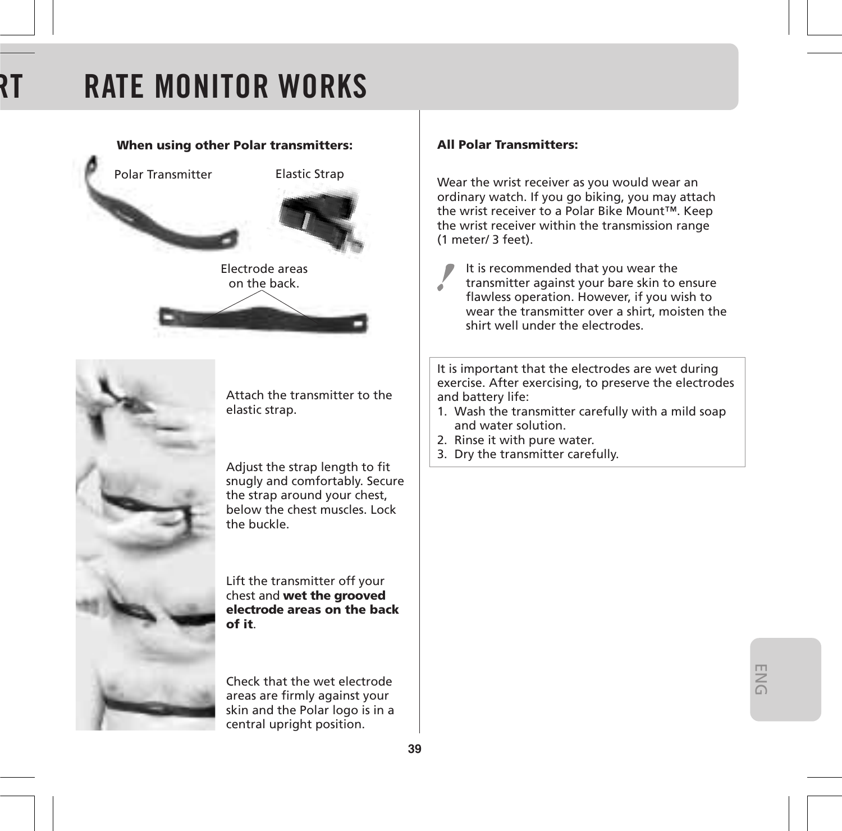## **RATE MONITOR WORKS**



Adjust the strap length to fit snugly and comfortably. Secure the strap around your chest, below the chest muscles. Lock the buckle.

Lift the transmitter off your chest and **wet the grooved electrode areas on the back of it**.

Check that the wet electrode areas are firmly against your skin and the Polar logo is in a central upright position.

### **All Polar Transmitters:**

Wear the wrist receiver as you would wear an ordinary watch. If you go biking, you may attach the wrist receiver to a Polar Bike Mount™. Keep the wrist receiver within the transmission range (1 meter/ 3 feet).

It is recommended that you wear the

transmitter against your bare skin to ensure flawless operation. However, if you wish to wear the transmitter over a shirt, moisten the shirt well under the electrodes.

It is important that the electrodes are wet during exercise. After exercising, to preserve the electrodes and battery life:

- 1. Wash the transmitter carefully with a mild soap and water solution.
- 2. Rinse it with pure water.
- 3. Dry the transmitter carefully.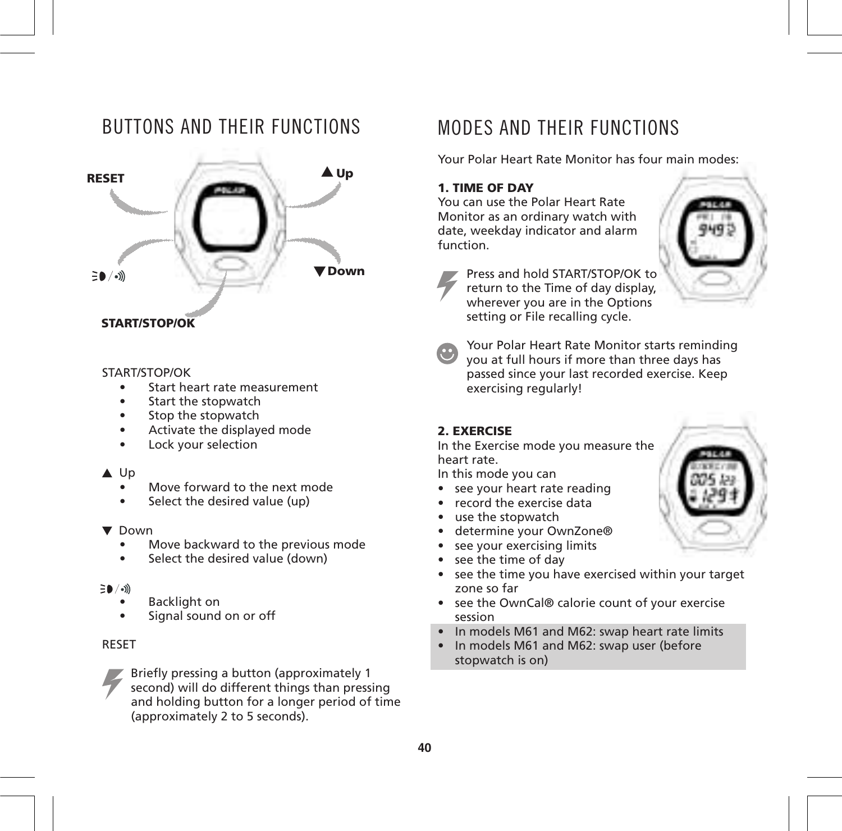### BUTTONS AND THEIR FUNCTIONS



### **START/STOP/OK**

#### START/STOP/OK

- Start heart rate measurement
- Start the stopwatch
- Stop the stopwatch
- Activate the displayed mode
- Lock your selection

#### A Up

- Move forward to the next mode
- Select the desired value (up)

#### $\nabla$  Down

- Move backward to the previous mode
- Select the desired value (down)

#### $\Xi$ 0 / $\omega$

- Backlight on
- Signal sound on or off

### RESET



Briefly pressing a button (approximately 1 second) will do different things than pressing and holding button for a longer period of time (approximately 2 to 5 seconds).

### MODES AND THEIR FUNCTIONS

Your Polar Heart Rate Monitor has four main modes:

### **1. TIME OF DAY**

You can use the Polar Heart Rate Monitor as an ordinary watch with date, weekday indicator and alarm function.





Press and hold START/STOP/OK to return to the Time of day display, wherever you are in the Options setting or File recalling cycle.



Your Polar Heart Rate Monitor starts reminding you at full hours if more than three days has passed since your last recorded exercise. Keep exercising regularly!

### **2. EXERCISE**

In the Exercise mode you measure the heart rate.

In this mode you can

- see your heart rate reading
- record the exercise data
- use the stopwatch
- determine your OwnZone®
- see your exercising limits
- see the time of day
- see the time you have exercised within your target zone so far
- see the OwnCal® calorie count of your exercise session
- In models M61 and M62: swap heart rate limits
- In models M61 and M62: swap user (before stopwatch is on)

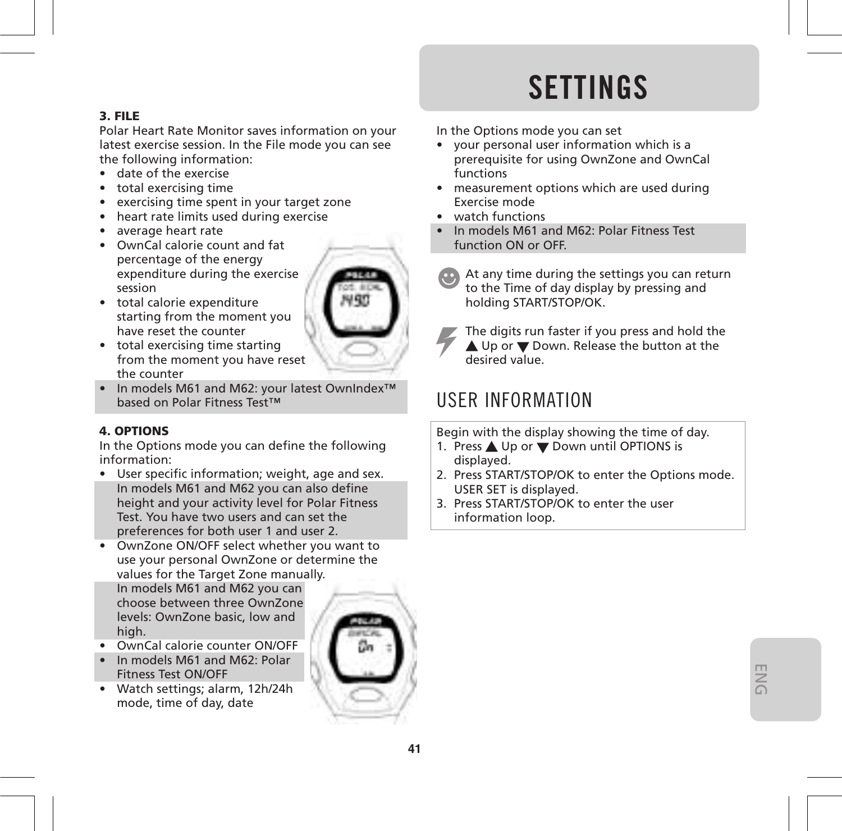## **SETTINGS**

### **3. FILE**

Polar Heart Rate Monitor saves information on your latest exercise session. In the File mode you can see the following information:

- date of the exercise
- total exercising time
- exercising time spent in your target zone
- heart rate limits used during exercise
- average heart rate
- OwnCal calorie count and fat percentage of the energy expenditure during the exercise session
- total calorie expenditure starting from the moment you have reset the counter
- total exercising time starting from the moment you have reset the counter
- In models M61 and M62: your latest OwnIndex™ based on Polar Fitness Test™

### **4. OPTIONS**

In the Options mode you can define the following information:

- User specific information; weight, age and sex. In models M61 and M62 you can also define height and your activity level for Polar Fitness Test. You have two users and can set the preferences for both user 1 and user 2.
- OwnZone ON/OFF select whether you want to use your personal OwnZone or determine the values for the Target Zone manually. In models M61 and M62 you can

choose between three OwnZone levels: OwnZone basic, low and high.

- OwnCal calorie counter ON/OFF
- In models M61 and M62: Polar Fitness Test ON/OFF
- Watch settings; alarm, 12h/24h mode, time of day, date



In the Options mode you can set

- your personal user information which is a prerequisite for using OwnZone and OwnCal functions
- measurement options which are used during Exercise mode
- watch functions
- In models M61 and M62: Polar Fitness Test function ON or OFF.
	- At any time during the settings you can return to the Time of day display by pressing and holding START/STOP/OK.
- 

The digits run faster if you press and hold the ▲ Up or ▼ Down. Release the button at the desired value.

### USER INFORMATION

Begin with the display showing the time of day.

- 1. Press ▲ Up or ▼ Down until OPTIONS is displayed.
- 2. Press START/STOP/OK to enter the Options mode. USER SET is displayed.
- 3. Press START/STOP/OK to enter the user information loop.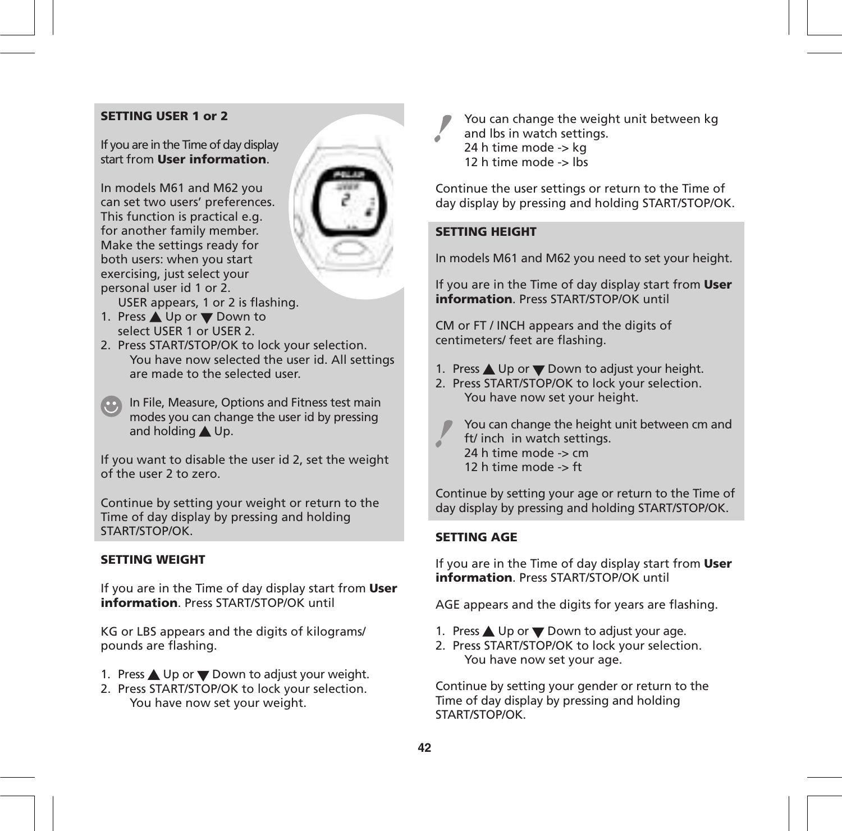### **SETTING USER 1 or 2**

If you are in the Time of day display start from **User information**.

In models M61 and M62 you can set two users' preferences. This function is practical e.g. for another family member. Make the settings ready for both users: when you start exercising, just select your personal user id 1 or 2.



USER appears, 1 or 2 is flashing.

- 1. Press ▲ Up or ▼ Down to select USER 1 or USER 2.
- 2. Press START/STOP/OK to lock your selection. You have now selected the user id. All settings are made to the selected user.
- **In File, Measure, Options and Fitness test main** modes you can change the user id by pressing and holding  $\triangle$  Up.

If you want to disable the user id 2, set the weight of the user 2 to zero.

Continue by setting your weight or return to the Time of day display by pressing and holding START/STOP/OK.

### **SETTING WEIGHT**

If you are in the Time of day display start from **User information**. Press START/STOP/OK until

KG or LBS appears and the digits of kilograms/ pounds are flashing.

- 1. Press  $\triangle$  Up or  $\nabla$  Down to adjust your weight.
- 2. Press START/STOP/OK to lock your selection. You have now set your weight.

You can change the weight unit between kg and lbs in watch settings. 24 h time mode -> kg 12 h time mode -> lbs

Continue the user settings or return to the Time of day display by pressing and holding START/STOP/OK.

### **SETTING HEIGHT**

In models M61 and M62 you need to set your height.

If you are in the Time of day display start from **User information**. Press START/STOP/OK until

CM or FT / INCH appears and the digits of centimeters/ feet are flashing.

- 1. Press  $\triangle$  Up or  $\nabla$  Down to adjust your height.
- 2. Press START/STOP/OK to lock your selection. You have now set your height.
	-

You can change the height unit between cm and ft/ inch in watch settings. 24 h time mode -> cm

12 h time mode -> ft

Continue by setting your age or return to the Time of day display by pressing and holding START/STOP/OK.

### **SETTING AGE**

If you are in the Time of day display start from **User information**. Press START/STOP/OK until

AGE appears and the digits for years are flashing.

- 1. Press  $\triangle$  Up or  $\nabla$  Down to adjust your age.
- 2. Press START/STOP/OK to lock your selection. You have now set your age.

Continue by setting your gender or return to the Time of day display by pressing and holding START/STOP/OK.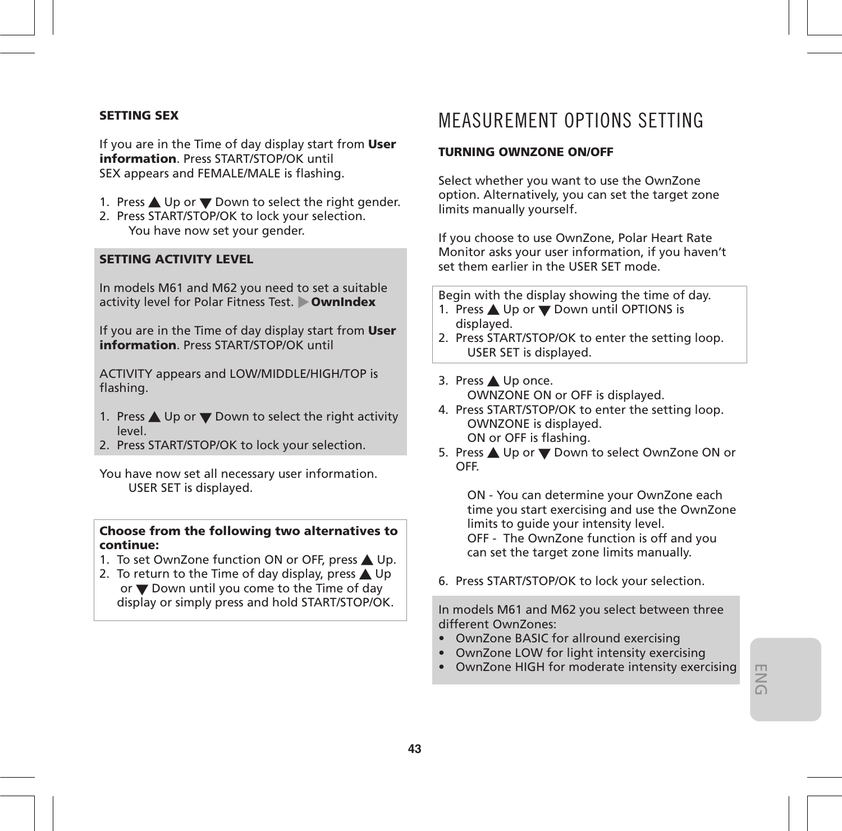#### **SETTING SEX**

If you are in the Time of day display start from **User information**. Press START/STOP/OK until SEX appears and FEMALE/MALE is flashing.

- 1. Press  $\triangle$  Up or  $\nabla$  Down to select the right gender.
- 2. Press START/STOP/OK to lock your selection. You have now set your gender.

### **SETTING ACTIVITY LEVEL**

In models M61 and M62 you need to set a suitable activity level for Polar Fitness Test. **OwnIndex**

If you are in the Time of day display start from **User information**. Press START/STOP/OK until

ACTIVITY appears and LOW/MIDDLE/HIGH/TOP is flashing.

- 1. Press  $\triangle$  Up or  $\nabla$  Down to select the right activity level.
- 2. Press START/STOP/OK to lock your selection.

You have now set all necessary user information. USER SET is displayed.

#### **Choose from the following two alternatives to continue:**

- 1. To set OwnZone function ON or OFF, press  $\triangle$  Up.
- 2. To return to the Time of day display, press  $\triangle$  Up or  $\nabla$  Down until you come to the Time of day display or simply press and hold START/STOP/OK.

### MEASUREMENT OPTIONS SETTING

#### **TURNING OWNZONE ON/OFF**

Select whether you want to use the OwnZone option. Alternatively, you can set the target zone limits manually yourself.

If you choose to use OwnZone, Polar Heart Rate Monitor asks your user information, if you haven't set them earlier in the USER SET mode.

Begin with the display showing the time of day.

- 1. Press  $\triangle$  Up or  $\nabla$  Down until OPTIONS is displayed.
- 2. Press START/STOP/OK to enter the setting loop. USER SET is displayed.
- 3. Press Up once. OWNZONE ON or OFF is displayed.
- 4. Press START/STOP/OK to enter the setting loop. OWNZONE is displayed. ON or OFF is flashing.
- 5. Press ▲ Up or ▼ Down to select OwnZone ON or OFF.

ON - You can determine your OwnZone each time you start exercising and use the OwnZone limits to guide your intensity level. OFF - The OwnZone function is off and you can set the target zone limits manually.

6. Press START/STOP/OK to lock your selection.

In models M61 and M62 you select between three different OwnZones:

- OwnZone BASIC for allround exercising
- OwnZone LOW for light intensity exercising
- OwnZone HIGH for moderate intensity exercising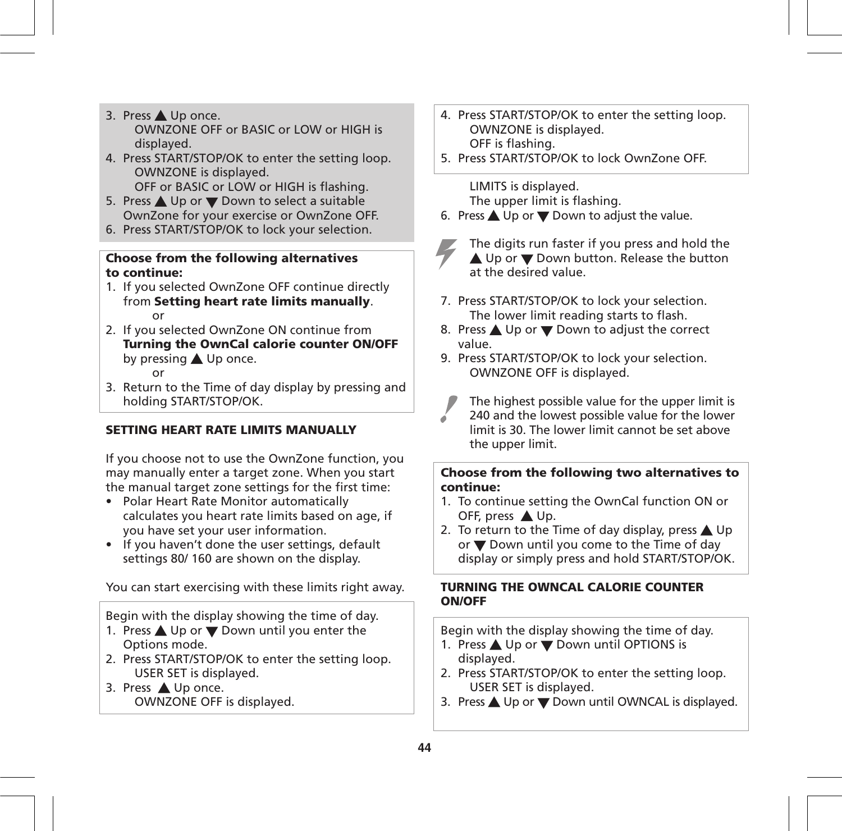- 3. Press ▲ Up once. OWNZONE OFF or BASIC or LOW or HIGH is displayed.
- 4. Press START/STOP/OK to enter the setting loop. OWNZONE is displayed. OFF or BASIC or LOW or HIGH is flashing.
- 5. Press ▲ Up or ▼ Down to select a suitable OwnZone for your exercise or OwnZone OFF.
- 6. Press START/STOP/OK to lock your selection.

#### **Choose from the following alternatives to continue:**

- 1. If you selected OwnZone OFF continue directly from **Setting heart rate limits manually**.
- or 2. If you selected OwnZone ON continue from **Turning the OwnCal calorie counter ON/OFF** by pressing **A** Up once. or
- 3. Return to the Time of day display by pressing and holding START/STOP/OK.

### **SETTING HEART RATE LIMITS MANUALLY**

If you choose not to use the OwnZone function, you may manually enter a target zone. When you start the manual target zone settings for the first time:

- Polar Heart Rate Monitor automatically calculates you heart rate limits based on age, if you have set your user information.
- If you haven't done the user settings, default settings 80/ 160 are shown on the display.

You can start exercising with these limits right away.

Begin with the display showing the time of day.

- 1. Press  $\triangle$  Up or  $\overline{\triangledown}$  Down until you enter the Options mode.
- 2. Press START/STOP/OK to enter the setting loop. USER SET is displayed.
- 3. Press ▲ Up once. OWNZONE OFF is displayed.
- 4. Press START/STOP/OK to enter the setting loop. OWNZONE is displayed. OFF is flashing.
- 5. Press START/STOP/OK to lock OwnZone OFF.

LIMITS is displayed. The upper limit is flashing.

- 6. Press  $\triangle$  Up or  $\nabla$  Down to adjust the value.
- 

The digits run faster if you press and hold the  $\triangle$  Up or  $\nabla$  Down button. Release the button at the desired value.

- 7. Press START/STOP/OK to lock your selection. The lower limit reading starts to flash.
- 8. Press  $\triangle$  Up or  $\nabla$  Down to adjust the correct value.
- 9. Press START/STOP/OK to lock your selection. OWNZONE OFF is displayed.
- The highest possible value for the upper limit is 240 and the lowest possible value for the lower limit is 30. The lower limit cannot be set above the upper limit.

### **Choose from the following two alternatives to continue:**

- 1. To continue setting the OwnCal function ON or OFF, press  $\triangle$  Up.
- 2. To return to the Time of day display, press  $\triangle$  Up or Down until you come to the Time of day display or simply press and hold START/STOP/OK.

### **TURNING THE OWNCAL CALORIE COUNTER ON/OFF**

Begin with the display showing the time of day.

- 1. Press ▲ Up or Down until OPTIONS is displayed.
- 2. Press START/STOP/OK to enter the setting loop. USER SET is displayed.
- 3. Press  $\triangle$  Up or  $\nabla$  Down until OWNCAL is displayed.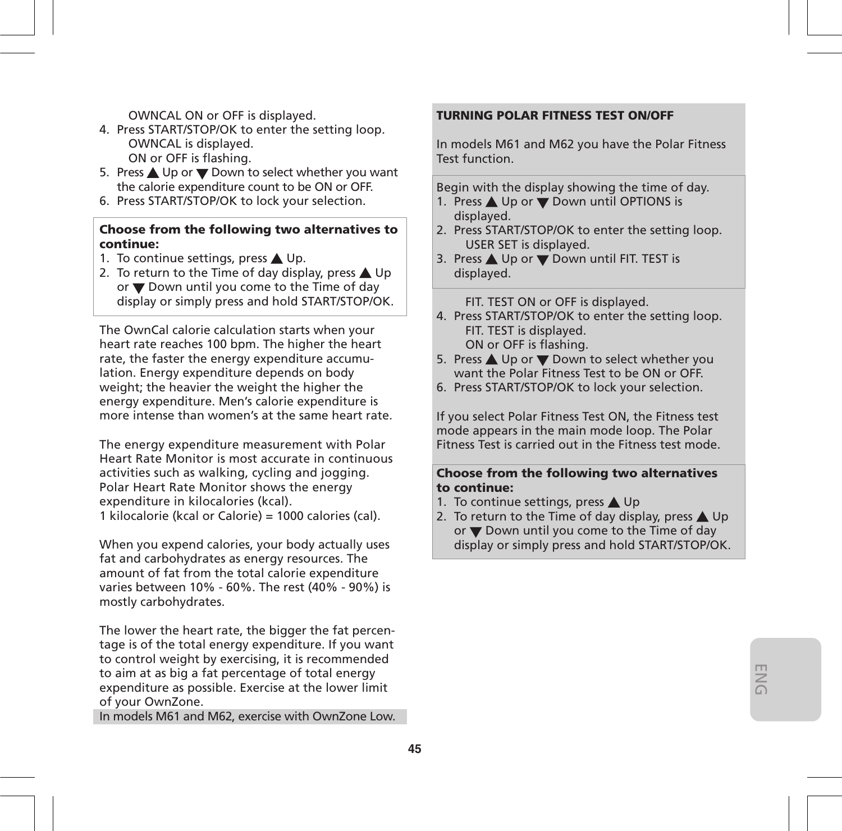OWNCAL ON or OFF is displayed.

- 4. Press START/STOP/OK to enter the setting loop. OWNCAL is displayed. ON or OFF is flashing.
- 5. Press ▲ Up or ▼ Down to select whether you want the calorie expenditure count to be ON or OFF.
- 6. Press START/STOP/OK to lock your selection.

#### **Choose from the following two alternatives to continue:**

- 1. To continue settings, press  $\triangle$  Up.
- 2. To return to the Time of day display, press  $\triangle$  Up or  $\nabla$  Down until you come to the Time of day display or simply press and hold START/STOP/OK.

The OwnCal calorie calculation starts when your heart rate reaches 100 bpm. The higher the heart rate, the faster the energy expenditure accumulation. Energy expenditure depends on body weight; the heavier the weight the higher the energy expenditure. Men's calorie expenditure is more intense than women's at the same heart rate.

The energy expenditure measurement with Polar Heart Rate Monitor is most accurate in continuous activities such as walking, cycling and jogging. Polar Heart Rate Monitor shows the energy expenditure in kilocalories (kcal). 1 kilocalorie (kcal or Calorie) = 1000 calories (cal).

When you expend calories, your body actually uses fat and carbohydrates as energy resources. The amount of fat from the total calorie expenditure varies between 10% - 60%. The rest (40% - 90%) is mostly carbohydrates.

The lower the heart rate, the bigger the fat percentage is of the total energy expenditure. If you want to control weight by exercising, it is recommended to aim at as big a fat percentage of total energy expenditure as possible. Exercise at the lower limit of your OwnZone.

In models M61 and M62, exercise with OwnZone Low.

### **TURNING POLAR FITNESS TEST ON/OFF**

In models M61 and M62 you have the Polar Fitness Test function.

Begin with the display showing the time of day.

- 1. Press ▲ Up or ▼ Down until OPTIONS is displayed.
- 2. Press START/STOP/OK to enter the setting loop. USER SET is displayed.
- 3. Press ▲ Up or ▼ Down until FIT. TEST is displayed.

FIT. TEST ON or OFF is displayed.

- 4. Press START/STOP/OK to enter the setting loop. FIT. TEST is displayed. ON or OFF is flashing.
- 5. Press ▲ Up or ▼ Down to select whether you want the Polar Fitness Test to be ON or OFF.
- 6. Press START/STOP/OK to lock your selection.

If you select Polar Fitness Test ON, the Fitness test mode appears in the main mode loop. The Polar Fitness Test is carried out in the Fitness test mode.

#### **Choose from the following two alternatives to continue:**

- 1. To continue settings, press  $\triangle$  Up
- 2. To return to the Time of day display, press  $\triangle$  Up or  $\nabla$  Down until you come to the Time of day display or simply press and hold START/STOP/OK.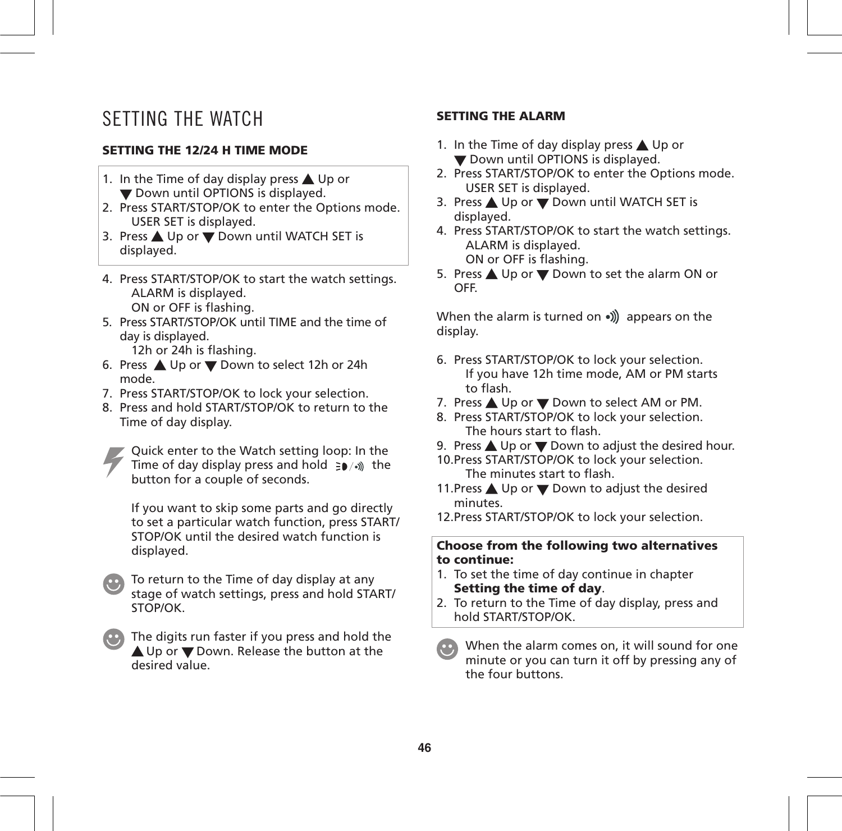### SETTING THE WATCH

### **SETTING THE 12/24 H TIME MODE**

- 1. In the Time of day display press  $\triangle$  Up or Down until OPTIONS is displayed.
- 2. Press START/STOP/OK to enter the Options mode. USER SET is displayed.
- 3. Press ▲ Up or ▼ Down until WATCH SET is displayed.
- 4. Press START/STOP/OK to start the watch settings. ALARM is displayed.
	- ON or OFF is flashing.
- 5. Press START/STOP/OK until TIME and the time of day is displayed.
	- 12h or 24h is flashing.
- 6. Press Up or Down to select 12h or 24h mode.
- 7. Press START/STOP/OK to lock your selection.
- 8. Press and hold START/STOP/OK to return to the Time of day display.

Quick enter to the Watch setting loop: In the Time of day display press and hold  $\Rightarrow$   $\bullet$  / $\bullet$ ) the button for a couple of seconds.

If you want to skip some parts and go directly to set a particular watch function, press START/ STOP/OK until the desired watch function is displayed.



The digits run faster if you press and hold the ▲ Up or ▼ Down. Release the button at the desired value.

### **SETTING THE ALARM**

- 1. In the Time of day display press  $\triangle$  Up or **V** Down until OPTIONS is displayed.
- 2. Press START/STOP/OK to enter the Options mode. USER SET is displayed.
- 3. Press ▲ Up or ▼ Down until WATCH SET is displayed.
- 4. Press START/STOP/OK to start the watch settings. ALARM is displayed. ON or OFF is flashing.
- 5. Press ▲ Up or ▼ Down to set the alarm ON or OFF.

When the alarm is turned on  $\bullet$ )) appears on the display.

- 6. Press START/STOP/OK to lock your selection. If you have 12h time mode, AM or PM starts to flash.
- 7. Press ▲ Up or ▼ Down to select AM or PM.
- 8. Press START/STOP/OK to lock your selection. The hours start to flash.
- 9. Press  $\triangle$  Up or  $\nabla$  Down to adjust the desired hour.
- 10.Press START/STOP/OK to lock your selection. The minutes start to flash.
- 11. Press  $\triangle$  Up or  $\nabla$  Down to adjust the desired minutes.

12.Press START/STOP/OK to lock your selection.

**Choose from the following two alternatives to continue:**

- 1. To set the time of day continue in chapter **Setting the time of day**.
- 2. To return to the Time of day display, press and hold START/STOP/OK.

When the alarm comes on, it will sound for one minute or you can turn it off by pressing any of the four buttons.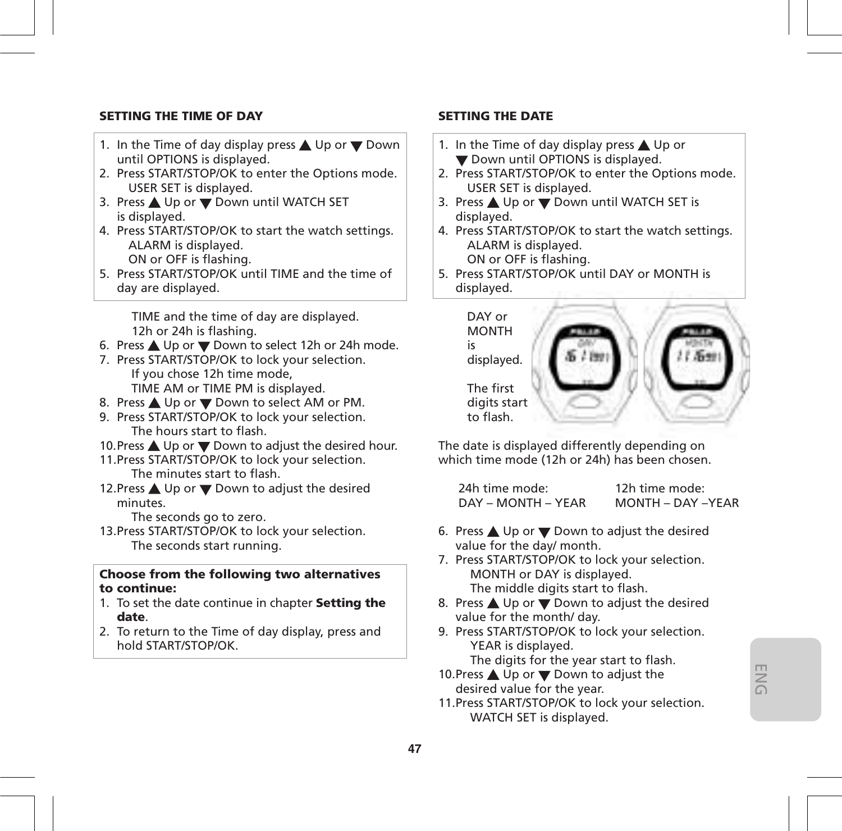### **SETTING THE TIME OF DAY**

- 1. In the Time of day display press  $\triangle$  Up or  $\nabla$  Down until OPTIONS is displayed.
- 2. Press START/STOP/OK to enter the Options mode. USER SET is displayed.
- 3. Press ▲ Up or ▼ Down until WATCH SET is displayed.
- 4. Press START/STOP/OK to start the watch settings. ALARM is displayed. ON or OFF is flashing.
- 5. Press START/STOP/OK until TIME and the time of day are displayed.

 TIME and the time of day are displayed. 12h or 24h is flashing.

- 6. Press ▲ Up or ▼ Down to select 12h or 24h mode.
- 7. Press START/STOP/OK to lock your selection. If you chose 12h time mode, TIME AM or TIME PM is displayed.
- 8. Press ▲ Up or ▼ Down to select AM or PM.
- 9. Press START/STOP/OK to lock your selection. The hours start to flash.
- 10. Press  $\triangle$  Up or  $\nabla$  Down to adjust the desired hour.
- 11.Press START/STOP/OK to lock your selection. The minutes start to flash.
- 12. Press ▲ Up or ▼ Down to adjust the desired minutes.

The seconds go to zero.

13.Press START/STOP/OK to lock your selection. The seconds start running.

#### **Choose from the following two alternatives to continue:**

- 1. To set the date continue in chapter **Setting the date**.
- 2. To return to the Time of day display, press and hold START/STOP/OK.

### **SETTING THE DATE**

- 1. In the Time of day display press  $\triangle$  Up or **Down until OPTIONS is displayed.**
- 2. Press START/STOP/OK to enter the Options mode. USER SET is displayed.
- 3. Press ▲ Up or ▼ Down until WATCH SET is displayed.
- 4. Press START/STOP/OK to start the watch settings. ALARM is displayed. ON or OFF is flashing.
- 5. Press START/STOP/OK until DAY or MONTH is displayed.



The date is displayed differently depending on which time mode (12h or 24h) has been chosen.

| 24h time mode:     | 12h time mode:    |
|--------------------|-------------------|
| DAY – MONTH – YEAR | MONTH - DAY -YEAR |

- 6. Press  $\triangle$  Up or  $\nabla$  Down to adjust the desired value for the day/ month.
- 7. Press START/STOP/OK to lock your selection. MONTH or DAY is displayed. The middle digits start to flash.
- 8. Press  $\triangle$  Up or  $\nabla$  Down to adjust the desired value for the month/ day.
- 9. Press START/STOP/OK to lock your selection. YEAR is displayed. The digits for the year start to flash.
- 10. Press  $\triangle$  Up or  $\nabla$  Down to adjust the desired value for the year.
- 11.Press START/STOP/OK to lock your selection. WATCH SET is displayed.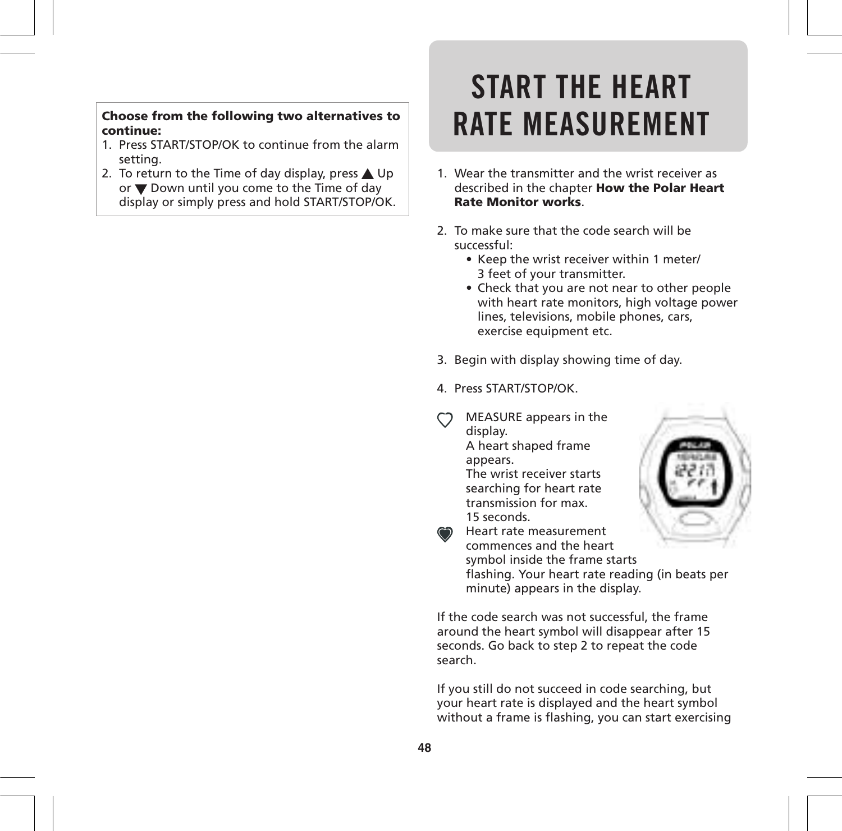**RATE MEASUREMENT Choose from the following two alternatives to continue:**

- 1. Press START/STOP/OK to continue from the alarm setting.
- 2. To return to the Time of day display, press  $\triangle$  Up or  $\nabla$  Down until you come to the Time of day display or simply press and hold START/STOP/OK.

# **START THE HEART**

- 1. Wear the transmitter and the wrist receiver as described in the chapter **How the Polar Heart Rate Monitor works**.
- 2. To make sure that the code search will be successful:
	- Keep the wrist receiver within 1 meter/ 3 feet of your transmitter.
	- Check that you are not near to other people with heart rate monitors, high voltage power lines, televisions, mobile phones, cars, exercise equipment etc.
- 3. Begin with display showing time of day.
- 4. Press START/STOP/OK.
	- MEASURE appears in the display. A heart shaped frame appears. The wrist receiver starts searching for heart rate transmission for max. 15 seconds.



Heart rate measurement commences and the heart symbol inside the frame starts flashing. Your heart rate reading (in beats per minute) appears in the display.

If the code search was not successful, the frame around the heart symbol will disappear after 15 seconds. Go back to step 2 to repeat the code search.

If you still do not succeed in code searching, but your heart rate is displayed and the heart symbol without a frame is flashing, you can start exercising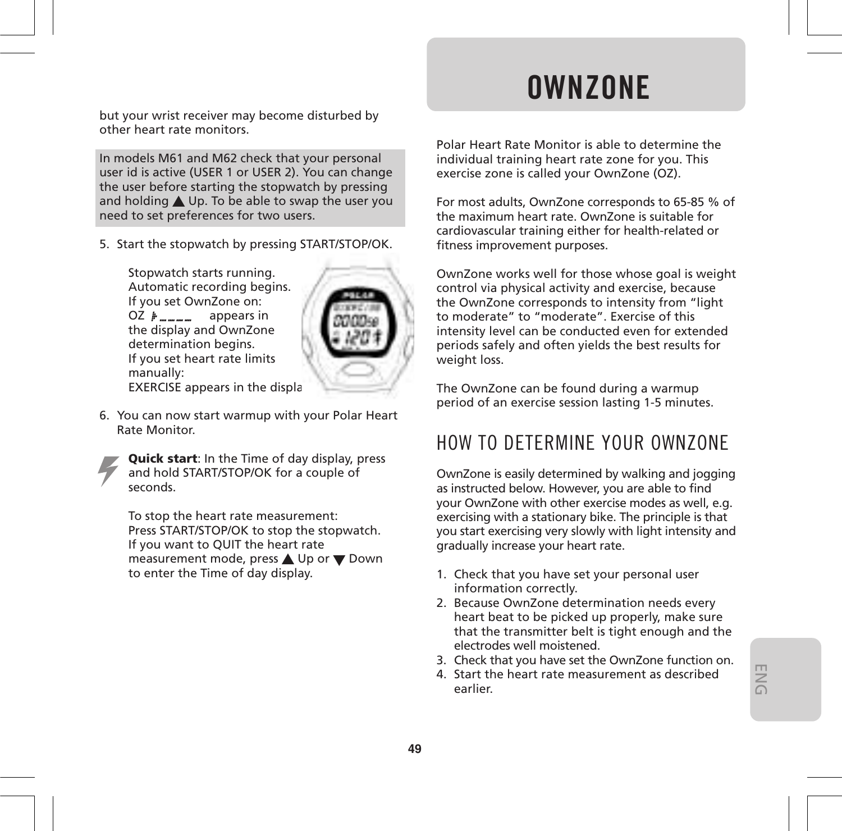but your wrist receiver may become disturbed by other heart rate monitors.

In models M61 and M62 check that your personal user id is active (USER 1 or USER 2). You can change the user before starting the stopwatch by pressing and holding  $\triangle$  Up. To be able to swap the user you need to set preferences for two users.

5. Start the stopwatch by pressing START/STOP/OK.

Stopwatch starts running. Automatic recording begins. If you set OwnZone on:  $OZ \not\models \_\_\_\_\_\_\_\_\_\_\_\_\_\_\$  appears in the display and OwnZone determination begins. If you set heart rate limits manually: EXERCISE appears in the displa



6. You can now start warmup with your Polar Heart Rate Monitor.

**Quick start**: In the Time of day display, press and hold START/STOP/OK for a couple of seconds.

To stop the heart rate measurement: Press START/STOP/OK to stop the stopwatch. If you want to QUIT the heart rate measurement mode, press ▲ Up or ▼ Down to enter the Time of day display.

## **OWNZONE**

Polar Heart Rate Monitor is able to determine the individual training heart rate zone for you. This exercise zone is called your OwnZone (OZ).

For most adults, OwnZone corresponds to 65-85 % of the maximum heart rate. OwnZone is suitable for cardiovascular training either for health-related or fitness improvement purposes.

OwnZone works well for those whose goal is weight control via physical activity and exercise, because the OwnZone corresponds to intensity from "light to moderate" to "moderate". Exercise of this intensity level can be conducted even for extended periods safely and often yields the best results for weight loss.

The OwnZone can be found during a warmup period of an exercise session lasting 1-5 minutes.

### HOW TO DETERMINE YOUR OWNZONE

OwnZone is easily determined by walking and jogging as instructed below. However, you are able to find your OwnZone with other exercise modes as well, e.g. exercising with a stationary bike. The principle is that you start exercising very slowly with light intensity and gradually increase your heart rate.

- 1. Check that you have set your personal user information correctly.
- 2. Because OwnZone determination needs every heart beat to be picked up properly, make sure that the transmitter belt is tight enough and the electrodes well moistened.
- 3. Check that you have set the OwnZone function on.
- 4. Start the heart rate measurement as described earlier.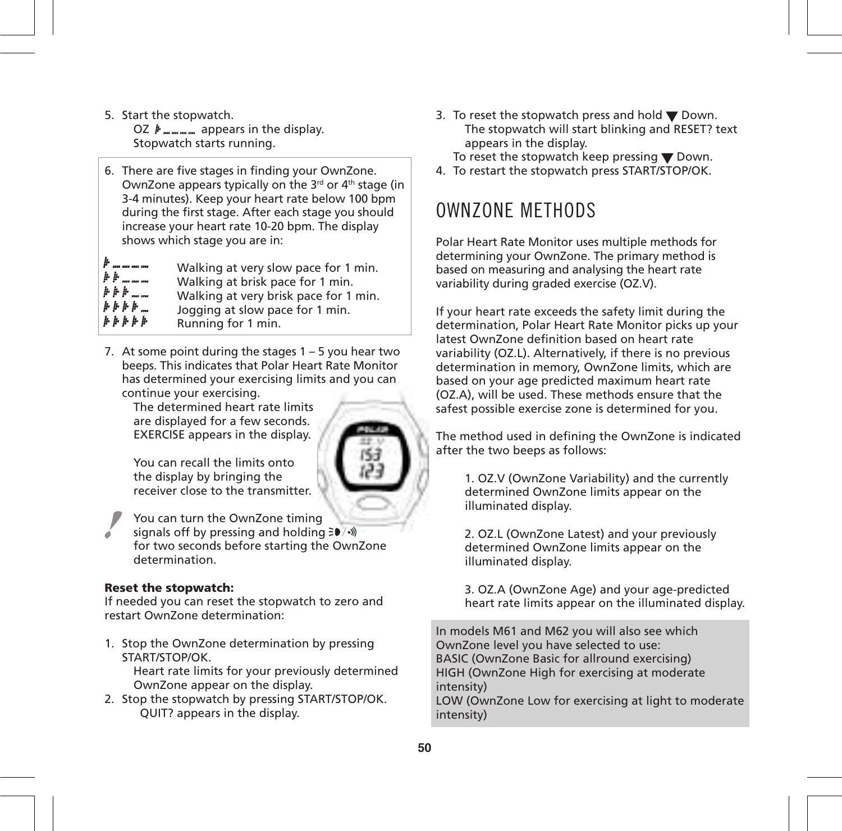- 5. Start the stopwatch. OZ  $#$ <sub>*m*-*m*-*m*</sub> appears in the display. Stopwatch starts running.
- 6. There are five stages in finding your OwnZone. OwnZone appears typically on the 3<sup>rd</sup> or 4<sup>th</sup> stage (in 3-4 minutes). Keep your heart rate below 100 bpm during the first stage. After each stage you should increase your heart rate 10-20 bpm. The display shows which stage you are in:

Walking at very slow pace for 1 min.  $+ + -$ Walking at brisk pace for 1 min.  $* * * ...$ Walking at very brisk pace for 1 min.  $1.1.1.1$ Jogging at slow pace for 1 min.  $h h h h h$ Running for 1 min.

7. At some point during the stages 1 – 5 you hear two beeps. This indicates that Polar Heart Rate Monitor has determined your exercising limits and you can continue your exercising.

The determined heart rate limits are displayed for a few seconds. EXERCISE appears in the display.



You can recall the limits onto the display by bringing the receiver close to the transmitter.

You can turn the OwnZone timing signals off by pressing and holding  $\geq 0$  /•) for two seconds before starting the OwnZone determination.

#### **Reset the stopwatch:**

If needed you can reset the stopwatch to zero and restart OwnZone determination:

- 1. Stop the OwnZone determination by pressing START/STOP/OK. Heart rate limits for your previously determined OwnZone appear on the display.
- 2. Stop the stopwatch by pressing START/STOP/OK. QUIT? appears in the display.

3. To reset the stopwatch press and hold  $\nabla$  Down. The stopwatch will start blinking and RESET? text appears in the display.

To reset the stopwatch keep pressing  $\nabla$  Down.

4. To restart the stopwatch press START/STOP/OK.

### OWNZONE METHODS

Polar Heart Rate Monitor uses multiple methods for determining your OwnZone. The primary method is based on measuring and analysing the heart rate variability during graded exercise (OZ.V).

If your heart rate exceeds the safety limit during the determination, Polar Heart Rate Monitor picks up your latest OwnZone definition based on heart rate variability (OZ.L). Alternatively, if there is no previous determination in memory, OwnZone limits, which are based on your age predicted maximum heart rate (OZ.A), will be used. These methods ensure that the safest possible exercise zone is determined for you.

The method used in defining the OwnZone is indicated after the two beeps as follows:

1. OZ.V (OwnZone Variability) and the currently determined OwnZone limits appear on the illuminated display.

2. OZ.L (OwnZone Latest) and your previously determined OwnZone limits appear on the illuminated display.

3. OZ.A (OwnZone Age) and your age-predicted heart rate limits appear on the illuminated display.

In models M61 and M62 you will also see which OwnZone level you have selected to use: BASIC (OwnZone Basic for allround exercising) HIGH (OwnZone High for exercising at moderate intensity)

LOW (OwnZone Low for exercising at light to moderate intensity)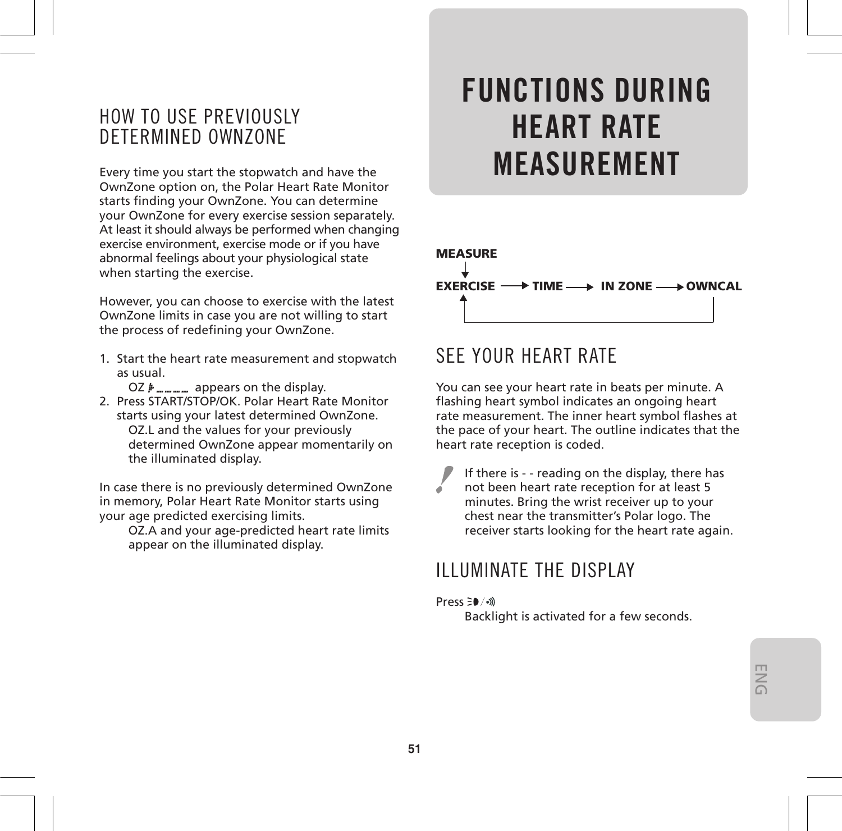### HOW TO USE PREVIOUSLY DETERMINED OWNZONE

Every time you start the stopwatch and have the OwnZone option on, the Polar Heart Rate Monitor starts finding your OwnZone. You can determine your OwnZone for every exercise session separately. At least it should always be performed when changing exercise environment, exercise mode or if you have abnormal feelings about your physiological state when starting the exercise.

However, you can choose to exercise with the latest OwnZone limits in case you are not willing to start the process of redefining your OwnZone.

1. Start the heart rate measurement and stopwatch as usual.

OZ  $#$ <sub>mmmm</sub> appears on the display.

2. Press START/STOP/OK. Polar Heart Rate Monitor starts using your latest determined OwnZone. OZ.L and the values for your previously determined OwnZone appear momentarily on the illuminated display.

In case there is no previously determined OwnZone in memory, Polar Heart Rate Monitor starts using your age predicted exercising limits.

OZ.A and your age-predicted heart rate limits appear on the illuminated display.

## **FUNCTIONS DURING HEART RATE MEASUREMENT**



### SEE YOUR HEART RATE

You can see your heart rate in beats per minute. A flashing heart symbol indicates an ongoing heart rate measurement. The inner heart symbol flashes at the pace of your heart. The outline indicates that the heart rate reception is coded.

If there is - - reading on the display, there has not been heart rate reception for at least 5 minutes. Bring the wrist receiver up to your chest near the transmitter's Polar logo. The receiver starts looking for the heart rate again.

### ILLUMINATE THE DISPLAY

#### Press ∋<sup>0</sup>/•))

Backlight is activated for a few seconds.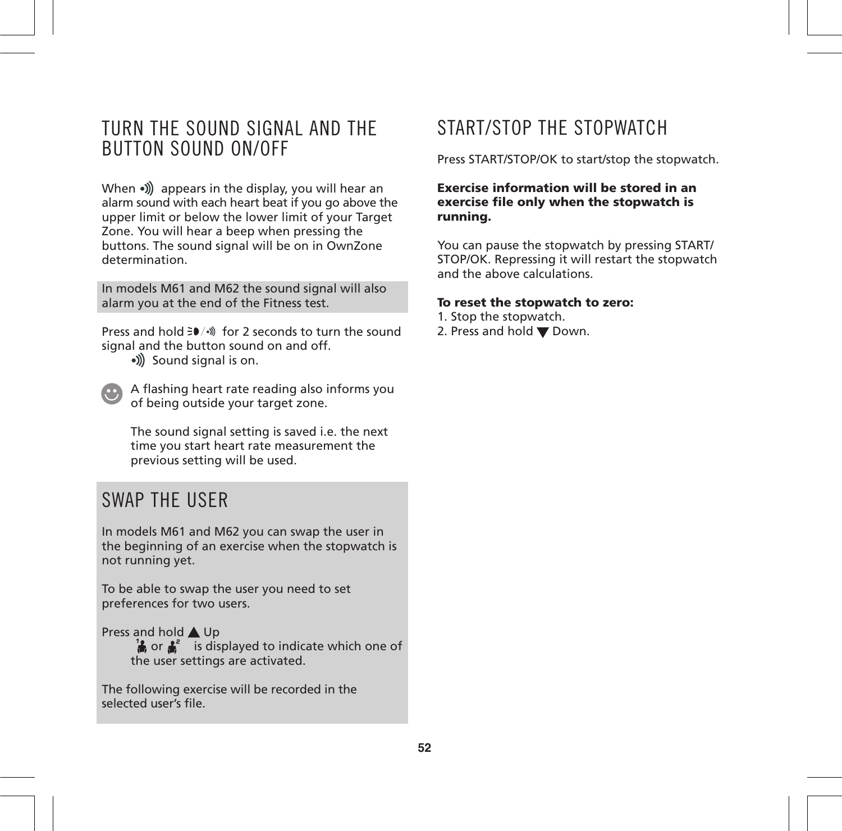### TURN THE SOUND SIGNAL AND THE BUTTON SOUND ON/OFF

When  $\bullet$ ) appears in the display, you will hear an alarm sound with each heart beat if you go above the upper limit or below the lower limit of your Target Zone. You will hear a beep when pressing the buttons. The sound signal will be on in OwnZone determination.

In models M61 and M62 the sound signal will also alarm you at the end of the Fitness test.

Press and hold  $\geq 0$  (a) for 2 seconds to turn the sound signal and the button sound on and off.

- •)) Sound signal is on.
- A flashing heart rate reading also informs you of being outside your target zone.

The sound signal setting is saved i.e. the next time you start heart rate measurement the previous setting will be used.

### SWAP THE USER

In models M61 and M62 you can swap the user in the beginning of an exercise when the stopwatch is not running yet.

To be able to swap the user you need to set preferences for two users.

Press and hold **A** Up **E** or  $\frac{1}{2}$  is displayed to indicate which one of the user settings are activated.

The following exercise will be recorded in the selected user's file.

### START/STOP THE STOPWATCH

Press START/STOP/OK to start/stop the stopwatch.

#### **Exercise information will be stored in an exercise file only when the stopwatch is running.**

You can pause the stopwatch by pressing START/ STOP/OK. Repressing it will restart the stopwatch and the above calculations.

#### **To reset the stopwatch to zero:**

- 1. Stop the stopwatch.
- 2. Press and hold  $\nabla$  Down.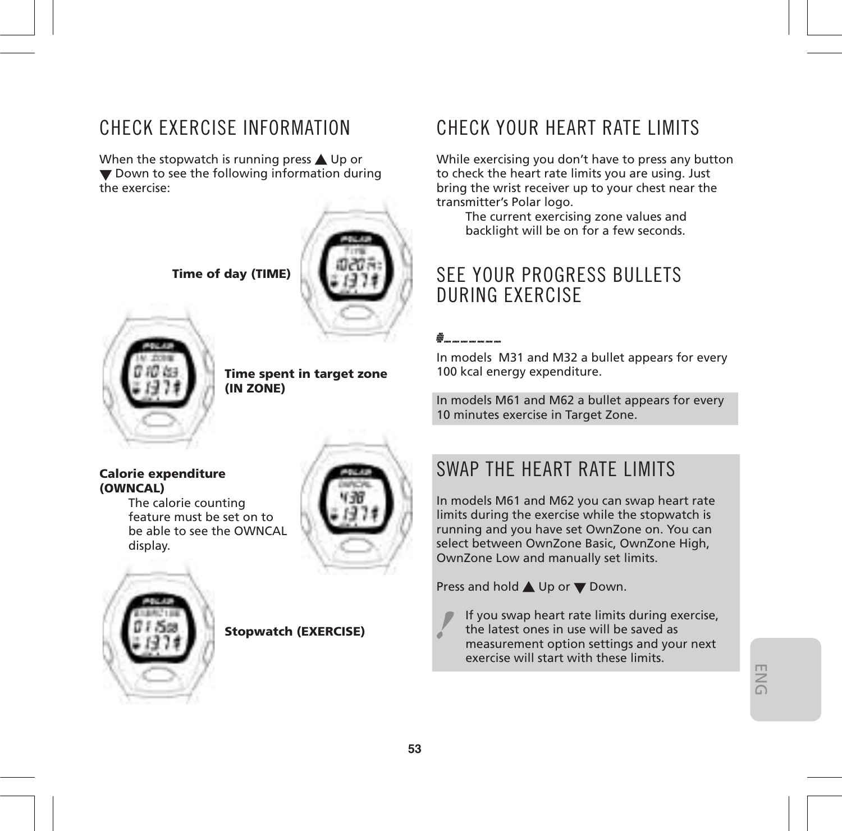### CHECK EXERCISE INFORMATION

When the stopwatch is running press  $\triangle$  Up or  $\blacktriangledown$  Down to see the following information during the exercise:



 **Time of day (TIME)**



**Time spent in target zone (IN ZONE)**

### CHECK YOUR HEART RATE LIMITS

While exercising you don't have to press any button to check the heart rate limits you are using. Just bring the wrist receiver up to your chest near the transmitter's Polar logo.

The current exercising zone values and backlight will be on for a few seconds.

### SEE YOUR PROGRESS BULLETS DURING EXERCISE

### ■ 一、一、一、

In models M31 and M32 a bullet appears for every 100 kcal energy expenditure.

In models M61 and M62 a bullet appears for every 10 minutes exercise in Target Zone.

### **Calorie expenditure (OWNCAL)**

The calorie counting feature must be set on to be able to see the OWNCAL display.





### **Stopwatch (EXERCISE)**

### SWAP THE HEART RATE LIMITS

In models M61 and M62 you can swap heart rate limits during the exercise while the stopwatch is running and you have set OwnZone on. You can select between OwnZone Basic, OwnZone High, OwnZone Low and manually set limits.

Press and hold  $\triangle$  Up or  $\nabla$  Down.

If you swap heart rate limits during exercise, the latest ones in use will be saved as measurement option settings and your next exercise will start with these limits.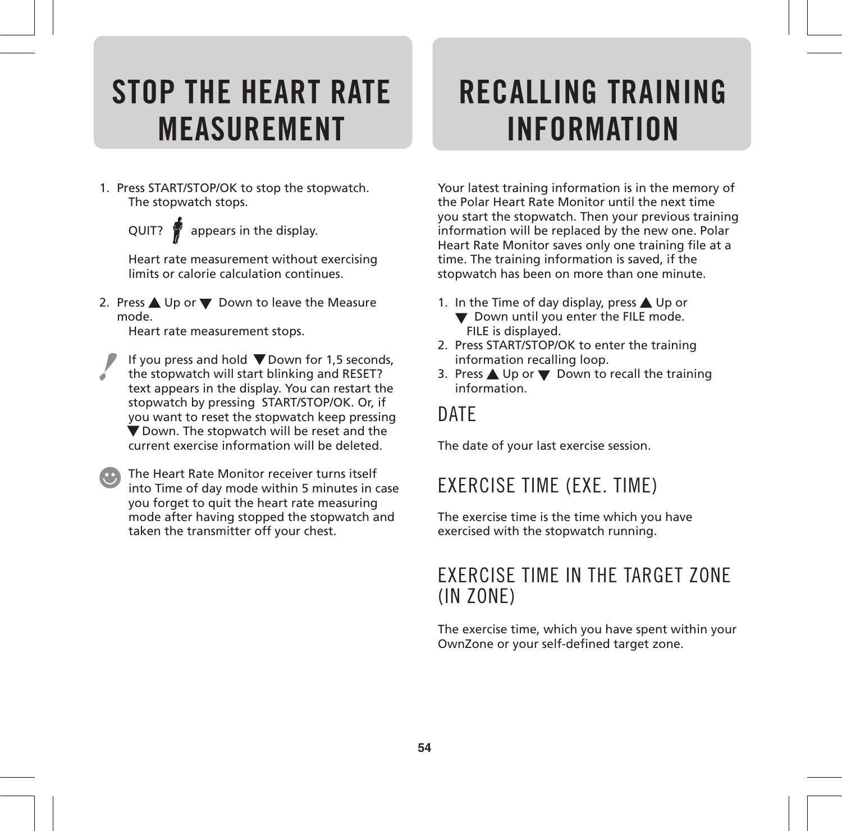## **STOP THE HEART RATE MEASUREMENT**

1. Press START/STOP/OK to stop the stopwatch. The stopwatch stops.

QUIT?  $\oint$  appears in the display.

Heart rate measurement without exercising limits or calorie calculation continues.

2. Press ▲ Up or ▼ Down to leave the Measure mode.

Heart rate measurement stops.

- If you press and hold  $\nabla$  Down for 1.5 seconds, the stopwatch will start blinking and RESET? á text appears in the display. You can restart the stopwatch by pressing START/STOP/OK. Or, if you want to reset the stopwatch keep pressing Down. The stopwatch will be reset and the current exercise information will be deleted.
- **CO** The Heart Rate Monitor receiver turns itself into Time of day mode within 5 minutes in case you forget to quit the heart rate measuring mode after having stopped the stopwatch and taken the transmitter off your chest.

## **RECALLING TRAINING INFORMATION**

Your latest training information is in the memory of the Polar Heart Rate Monitor until the next time you start the stopwatch. Then your previous training information will be replaced by the new one. Polar Heart Rate Monitor saves only one training file at a time. The training information is saved, if the stopwatch has been on more than one minute.

- 1. In the Time of day display, press  $\triangle$  Up or
	- ▼ Down until you enter the FILE mode. FILE is displayed.
- 2. Press START/STOP/OK to enter the training information recalling loop.
- 3. Press  $\triangle$  Up or  $\nabla$  Down to recall the training information.

### DATE

The date of your last exercise session.

### EXERCISE TIME (EXE. TIME)

The exercise time is the time which you have exercised with the stopwatch running.

### EXERCISE TIME IN THE TARGET ZONE (IN ZONE)

The exercise time, which you have spent within your OwnZone or your self-defined target zone.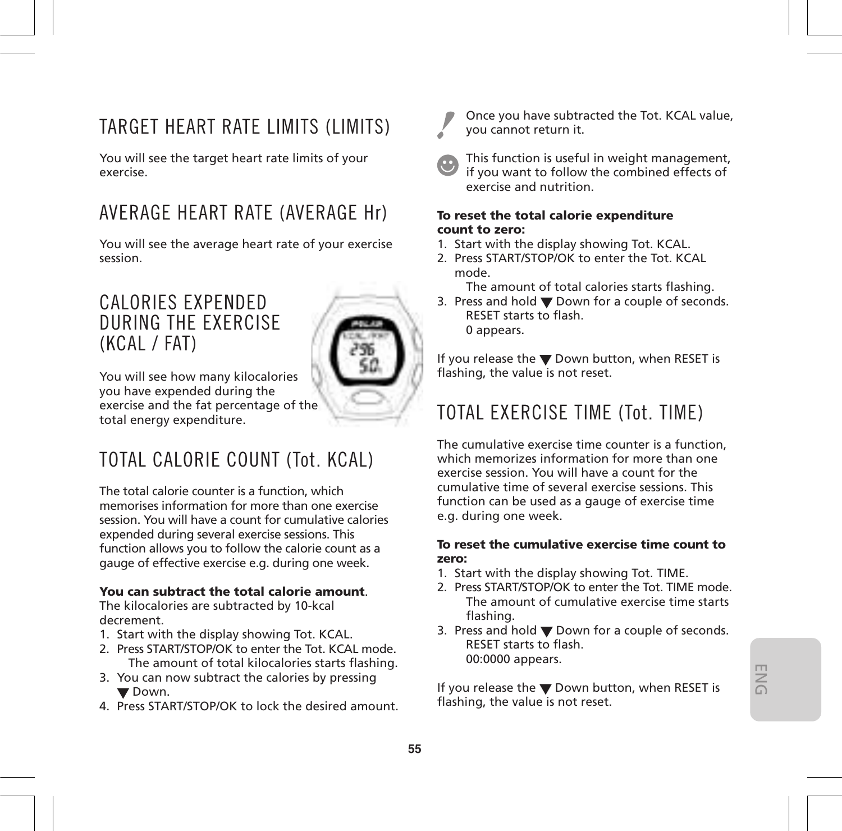### TARGET HEART RATE LIMITS (LIMITS)

You will see the target heart rate limits of your exercise.

### AVERAGE HEART RATE (AVERAGE Hr)

You will see the average heart rate of your exercise session.

### CALORIES EXPENDED DURING THE EXERCISE (KCAL / FAT)



You will see how many kilocalories you have expended during the exercise and the fat percentage of the total energy expenditure.

### TOTAL CALORIE COUNT (Tot. KCAL)

The total calorie counter is a function, which memorises information for more than one exercise session. You will have a count for cumulative calories expended during several exercise sessions. This function allows you to follow the calorie count as a gauge of effective exercise e.g. during one week.

### **You can subtract the total calorie amount**.

The kilocalories are subtracted by 10-kcal decrement.

- 1. Start with the display showing Tot. KCAL.
- 2. Press START/STOP/OK to enter the Tot. KCAL mode. The amount of total kilocalories starts flashing.
- 3. You can now subtract the calories by pressing **V** Down.
- 4. Press START/STOP/OK to lock the desired amount.



Once you have subtracted the Tot. KCAL value, you cannot return it.

This function is useful in weight management, if you want to follow the combined effects of exercise and nutrition.

#### **To reset the total calorie expenditure count to zero:**

- 1. Start with the display showing Tot. KCAL.
- 2. Press START/STOP/OK to enter the Tot. KCAL mode.

The amount of total calories starts flashing.

3. Press and hold  $\nabla$  Down for a couple of seconds. RESET starts to flash. 0 appears.

If you release the  $\nabla$  Down button, when RESET is flashing, the value is not reset.

### TOTAL EXERCISE TIME (Tot. TIME)

The cumulative exercise time counter is a function, which memorizes information for more than one exercise session. You will have a count for the cumulative time of several exercise sessions. This function can be used as a gauge of exercise time e.g. during one week.

#### **To reset the cumulative exercise time count to zero:**

- 1. Start with the display showing Tot. TIME.
- 2. Press START/STOP/OK to enter the Tot. TIME mode. The amount of cumulative exercise time starts flashing.
- 3. Press and hold  $\nabla$  Down for a couple of seconds. RESET starts to flash. 00:0000 appears.

If you release the  $\blacktriangledown$  Down button, when RESET is flashing, the value is not reset.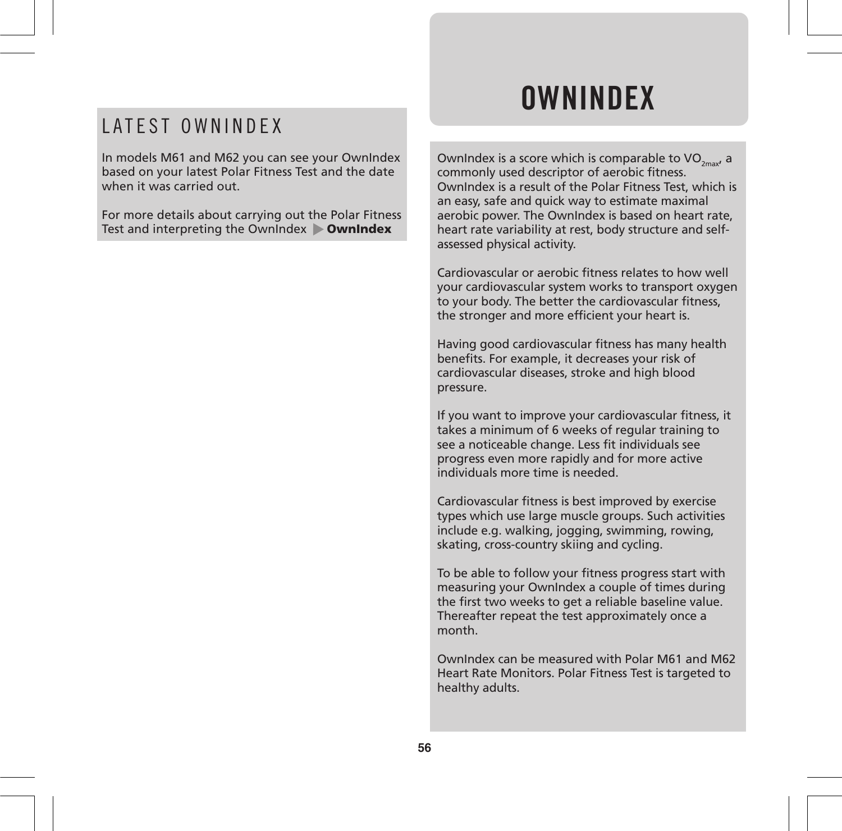### LATEST OWNINDEX

In models M61 and M62 you can see your OwnIndex based on your latest Polar Fitness Test and the date when it was carried out.

For more details about carrying out the Polar Fitness Test and interpreting the OwnIndex **OwnIndex**

## **OWNINDEX**

OwnIndex is a score which is comparable to  $VO_{2m}$ , a commonly used descriptor of aerobic fitness. OwnIndex is a result of the Polar Fitness Test, which is an easy, safe and quick way to estimate maximal aerobic power. The OwnIndex is based on heart rate, heart rate variability at rest, body structure and selfassessed physical activity.

Cardiovascular or aerobic fitness relates to how well your cardiovascular system works to transport oxygen to your body. The better the cardiovascular fitness, the stronger and more efficient your heart is.

Having good cardiovascular fitness has many health benefits. For example, it decreases your risk of cardiovascular diseases, stroke and high blood pressure.

If you want to improve your cardiovascular fitness, it takes a minimum of 6 weeks of regular training to see a noticeable change. Less fit individuals see progress even more rapidly and for more active individuals more time is needed.

Cardiovascular fitness is best improved by exercise types which use large muscle groups. Such activities include e.g. walking, jogging, swimming, rowing, skating, cross-country skiing and cycling.

To be able to follow your fitness progress start with measuring your OwnIndex a couple of times during the first two weeks to get a reliable baseline value. Thereafter repeat the test approximately once a month.

OwnIndex can be measured with Polar M61 and M62 Heart Rate Monitors. Polar Fitness Test is targeted to healthy adults.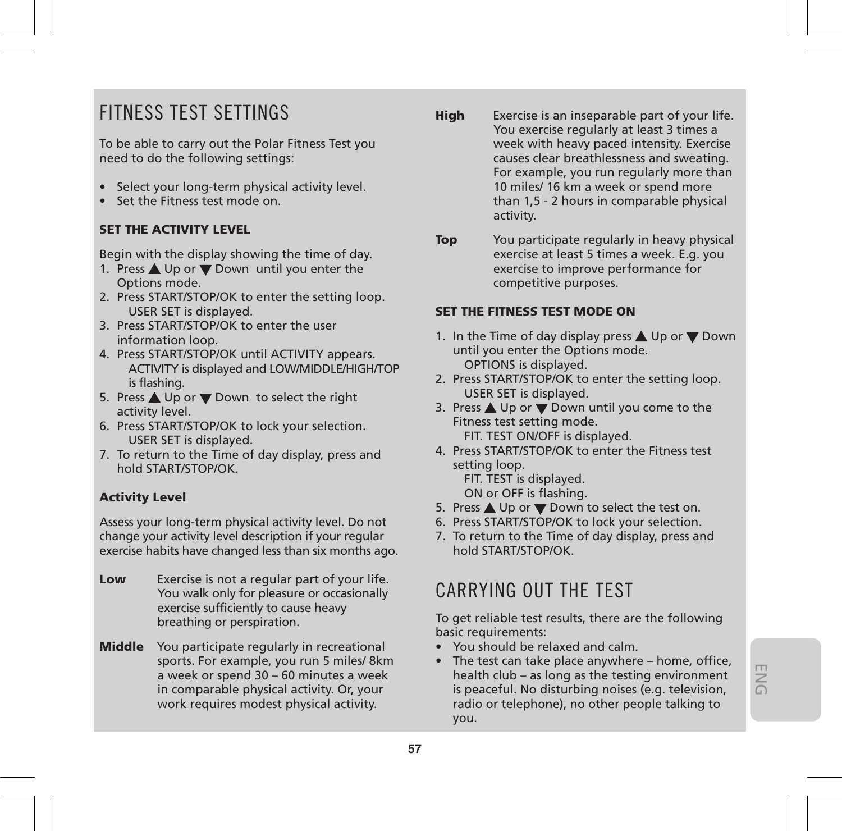### FITNESS TEST SETTINGS

To be able to carry out the Polar Fitness Test you need to do the following settings:

- Select your long-term physical activity level.
- Set the Fitness test mode on.

### **SET THE ACTIVITY LEVEL**

Begin with the display showing the time of day.

- 1. Press  $\triangle$  Up or  $\nabla$  Down until you enter the Options mode.
- 2. Press START/STOP/OK to enter the setting loop. USER SET is displayed.
- 3. Press START/STOP/OK to enter the user information loop.
- 4. Press START/STOP/OK until ACTIVITY appears. ACTIVITY is displayed and LOW/MIDDLE/HIGH/TOP is flashing.
- 5. Press ▲ Up or ▼ Down to select the right activity level.
- 6. Press START/STOP/OK to lock your selection. USER SET is displayed.
- 7. To return to the Time of day display, press and hold START/STOP/OK.

### **Activity Level**

Assess your long-term physical activity level. Do not change your activity level description if your regular exercise habits have changed less than six months ago.

- **Low** Exercise is not a regular part of your life. You walk only for pleasure or occasionally exercise sufficiently to cause heavy breathing or perspiration.
- **Middle** You participate regularly in recreational sports. For example, you run 5 miles/ 8km a week or spend 30 – 60 minutes a week in comparable physical activity. Or, your work requires modest physical activity.
- **High** Exercise is an inseparable part of your life. You exercise regularly at least 3 times a week with heavy paced intensity. Exercise causes clear breathlessness and sweating. For example, you run regularly more than 10 miles/ 16 km a week or spend more than 1,5 - 2 hours in comparable physical activity.
- **Top** You participate regularly in heavy physical exercise at least 5 times a week. E.g. you exercise to improve performance for competitive purposes.

### **SET THE FITNESS TEST MODE ON**

- 1. In the Time of day display press  $\triangle$  Up or  $\nabla$  Down until you enter the Options mode. OPTIONS is displayed.
- 2. Press START/STOP/OK to enter the setting loop. USER SET is displayed.
- 3. Press  $\triangle$  Up or  $\nabla$  Down until you come to the Fitness test setting mode. FIT. TEST ON/OFF is displayed.
- 4. Press START/STOP/OK to enter the Fitness test setting loop. FIT. TEST is displayed.

ON or OFF is flashing.

- 5. Press ▲ Up or ▼ Down to select the test on.
- 6. Press START/STOP/OK to lock your selection.
- 7. To return to the Time of day display, press and hold START/STOP/OK.

### CARRYING OUT THE TEST

To get reliable test results, there are the following basic requirements:

- You should be relaxed and calm.
- The test can take place anywhere home, office, health club – as long as the testing environment is peaceful. No disturbing noises (e.g. television, radio or telephone), no other people talking to you.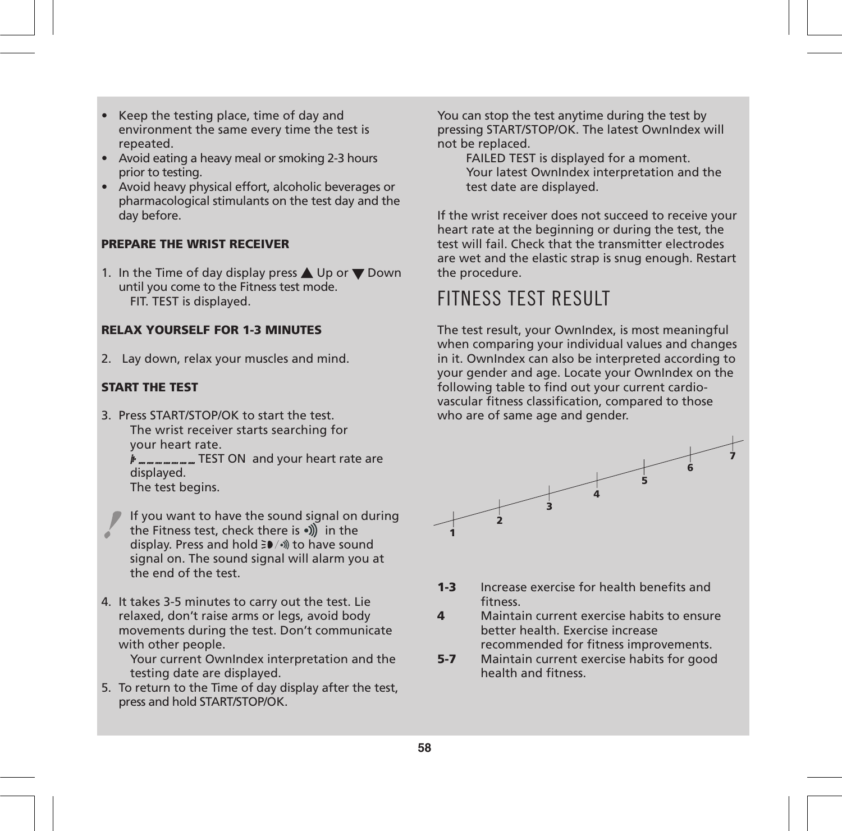- Keep the testing place, time of day and environment the same every time the test is repeated.
- Avoid eating a heavy meal or smoking 2-3 hours prior to testing.
- Avoid heavy physical effort, alcoholic beverages or pharmacological stimulants on the test day and the day before.

### **PREPARE THE WRIST RECEIVER**

1. In the Time of day display press  $\triangle$  Up or  $\nabla$  Down until you come to the Fitness test mode. FIT. TEST is displayed.

### **RELAX YOURSELF FOR 1-3 MINUTES**

2. Lay down, relax your muscles and mind.

### **START THE TEST**

3. Press START/STOP/OK to start the test. The wrist receiver starts searching for your heart rate.

> $#$ <sub>------</sub>-----------------</sub> TEST ON and your heart rate are displayed.

The test begins.

- If you want to have the sound signal on during the Fitness test, check there is  $\sqrt{m}$  in the display. Press and hold  $\exists \blacktriangleright / \triangleleft$  to have sound signal on. The sound signal will alarm you at the end of the test.
- 4. It takes 3-5 minutes to carry out the test. Lie relaxed, don't raise arms or legs, avoid body movements during the test. Don't communicate with other people.

Your current OwnIndex interpretation and the testing date are displayed.

5. To return to the Time of day display after the test, press and hold START/STOP/OK.

You can stop the test anytime during the test by pressing START/STOP/OK. The latest OwnIndex will not be replaced.

FAILED TEST is displayed for a moment. Your latest OwnIndex interpretation and the test date are displayed.

If the wrist receiver does not succeed to receive your heart rate at the beginning or during the test, the test will fail. Check that the transmitter electrodes are wet and the elastic strap is snug enough. Restart the procedure.

### FITNESS TEST RESULT

The test result, your OwnIndex, is most meaningful when comparing your individual values and changes in it. OwnIndex can also be interpreted according to your gender and age. Locate your OwnIndex on the following table to find out your current cardiovascular fitness classification, compared to those who are of same age and gender.



- **1-3** Increase exercise for health benefits and fitness.
- **4** Maintain current exercise habits to ensure better health. Exercise increase

recommended for fitness improvements.

**5-7** Maintain current exercise habits for good health and fitness.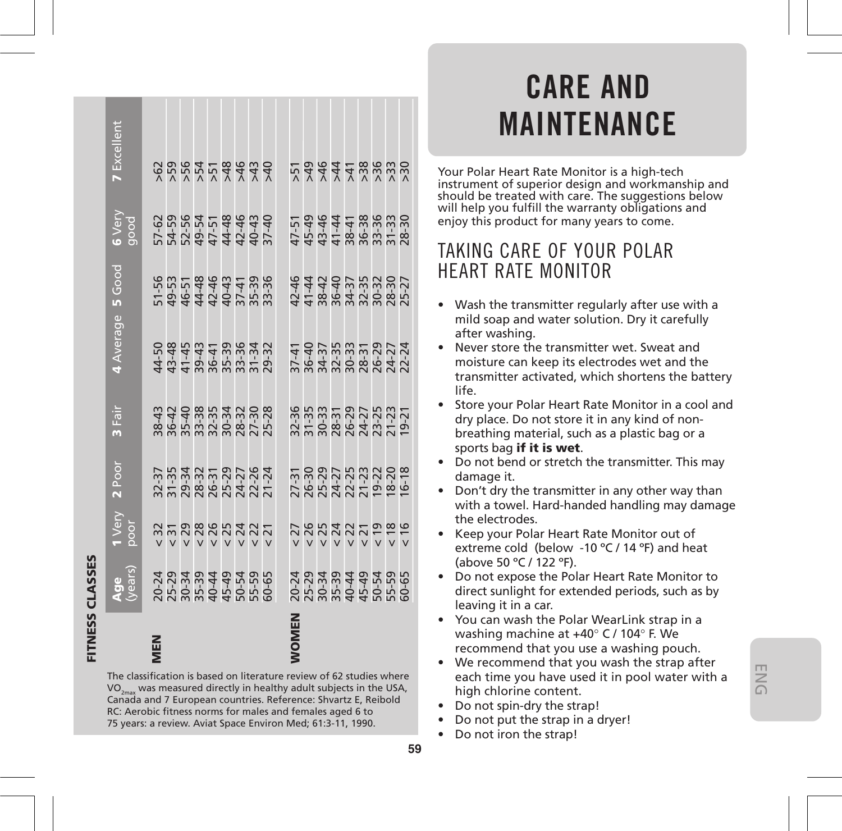| 7 Excellent                                                                                                                                                                                                                                                                                                                                       |  |  |  | 888858888                                                                                                                                                                                                                                                                                                     |  |  |  |  |  |  |  |  | 두 <sub></sub> <sub>묵 붓</sub> 쿶 듔 쯨 뚰 쯨 줐                          |                                                                   |
|---------------------------------------------------------------------------------------------------------------------------------------------------------------------------------------------------------------------------------------------------------------------------------------------------------------------------------------------------|--|--|--|---------------------------------------------------------------------------------------------------------------------------------------------------------------------------------------------------------------------------------------------------------------------------------------------------------------|--|--|--|--|--|--|--|--|-------------------------------------------------------------------|-------------------------------------------------------------------|
| <b>6</b> Very<br>good                                                                                                                                                                                                                                                                                                                             |  |  |  | $-5.8$ $-5.7$ $-5.7$ $-5.7$ $-5.7$ $-5.7$ $-5.7$ $-5.7$ $-5.7$ $-5.7$ $-5.7$ $-5.7$ $-5.7$ $-5.7$ $-5.7$ $-5.7$ $-5.7$ $-5.7$ $-5.7$ $-5.7$ $-5.7$ $-5.7$ $-5.7$ $-5.7$ $-5.7$ $-5.7$ $-5.7$ $-5.7$ $-5.7$ $-5.7$ $-5.7$ $-5.$                                                                                |  |  |  |  |  |  |  |  |                                                                   |                                                                   |
|                                                                                                                                                                                                                                                                                                                                                   |  |  |  | 156<br>1565 44445<br>1565 4445 566                                                                                                                                                                                                                                                                            |  |  |  |  |  |  |  |  |                                                                   |                                                                   |
| 4 Average 5 Good                                                                                                                                                                                                                                                                                                                                  |  |  |  | $11.738833723$ $12.74347$ $13.74347$ $15.74347$ $15.74347$ $15.74347$                                                                                                                                                                                                                                         |  |  |  |  |  |  |  |  | $3741$<br>$36437$<br>$36333$<br>$382821$<br>$3621$<br>$324$       |                                                                   |
| 3 Fair                                                                                                                                                                                                                                                                                                                                            |  |  |  |                                                                                                                                                                                                                                                                                                               |  |  |  |  |  |  |  |  |                                                                   | 32-36<br>31-33<br>30-37-29<br>28-27-25<br>20-21<br>20-21<br>20-21 |
| 2 Poor                                                                                                                                                                                                                                                                                                                                            |  |  |  | $\begin{array}{l} 37.37 \\ 31.34 \\ 29.34 \\ 28.42 \\ 29.53 \\ 29.53 \\ 29.53 \\ 21.24 \\ 21.24 \\ 21.24 \\ 21.24 \\ 21.24 \\ 21.24 \\ 22.24 \\ 23.24 \\ 24.24 \\ 25.24 \\ 26.25 \\ 27.24 \\ 28.25 \\ 29.25 \\ 20.25 \\ 21.25 \\ 22.25 \\ 23.25 \\ 24.25 \\ 25.25 \\ 26.25 \\ 27.25 \\ 28.25 \\ 29$           |  |  |  |  |  |  |  |  |                                                                   | 7.31<br>28.22723222<br>28.237222228<br>28.22722222                |
| l Very<br>poor                                                                                                                                                                                                                                                                                                                                    |  |  |  | $\begin{array}{c} 27.7 \\ 27.7 \\ 28.8 \\ 29.8 \\ 29.8 \\ 29.8 \\ 29.8 \\ 29.8 \\ 29.8 \\ 29.8 \\ 29.8 \\ 29.8 \\ 29.8 \\ 29.8 \\ 29.8 \\ 29.8 \\ 29.8 \\ 29.8 \\ 29.8 \\ 29.8 \\ 29.8 \\ 29.8 \\ 29.8 \\ 29.8 \\ 29.8 \\ 29.8 \\ 29.8 \\ 29.8 \\ 29.8 \\ 29.8 \\ 29.8 \\ 29.8 \\ 29.8 \\ 29.8 \\ 29.8 \\ 29$ |  |  |  |  |  |  |  |  | 22222222222222222                                                 |                                                                   |
| <b>Age</b><br>years                                                                                                                                                                                                                                                                                                                               |  |  |  |                                                                                                                                                                                                                                                                                                               |  |  |  |  |  |  |  |  | 2021 2021 2022 2023<br>2021 2021 2022 2022<br>2021 2022 2022 2023 |                                                                   |
|                                                                                                                                                                                                                                                                                                                                                   |  |  |  |                                                                                                                                                                                                                                                                                                               |  |  |  |  |  |  |  |  |                                                                   |                                                                   |
| The classification is based on literature review of 62 studies where<br>$\rm VO_{2max}$ was measured directly in healthy adult subjects in the USA,<br>Canada and 7 European countries. Reference: Shvartz E, Reibold<br>RC: Aerobic fitness norms for males and females aged 6 to<br>75 years: a review. Aviat Space Environ Med; 61:3-11, 1990. |  |  |  |                                                                                                                                                                                                                                                                                                               |  |  |  |  |  |  |  |  |                                                                   |                                                                   |

**FITNESS CLASSES**

**FITNESS CLASSES** 

## **CARE AND MAINTENANCE**

Your Polar Heart Rate Monitor is a high-tech instrument of superior design and workmanship and should be treated with care. The suggestions below will help you fulfill the warranty obligations and enjoy this product for many years to come.

### TAKING CARE OF YOUR POLAR HEART RATE MONITOR

- Wash the transmitter regularly after use with a mild soap and water solution. Dry it carefully after washing.
- Never store the transmitter wet. Sweat and moisture can keep its electrodes wet and the transmitter activated, which shortens the battery life.
- Store your Polar Heart Rate Monitor in a cool and dry place. Do not store it in any kind of nonbreathing material, such as a plastic bag or a sports bag **if it is wet**.
- Do not bend or stretch the transmitter. This may damage it.
- Don't dry the transmitter in any other way than with a towel. Hard-handed handling may damage the electrodes.
- Keep your Polar Heart Rate Monitor out of extreme cold (below -10 ºC / 14 ºF) and heat (above 50 ºC / 122 ºF).
- Do not expose the Polar Heart Rate Monitor to direct sunlight for extended periods, such as by leaving it in a car.
- You can wash the Polar WearLink strap in a washing machine at +40° C / 104° F. We recommend that you use a washing pouch.
- We recommend that you wash the strap after each time you have used it in pool water with a high chlorine content.
- Do not spin-dry the strap!
- Do not put the strap in a dryer!
- Do not iron the strap!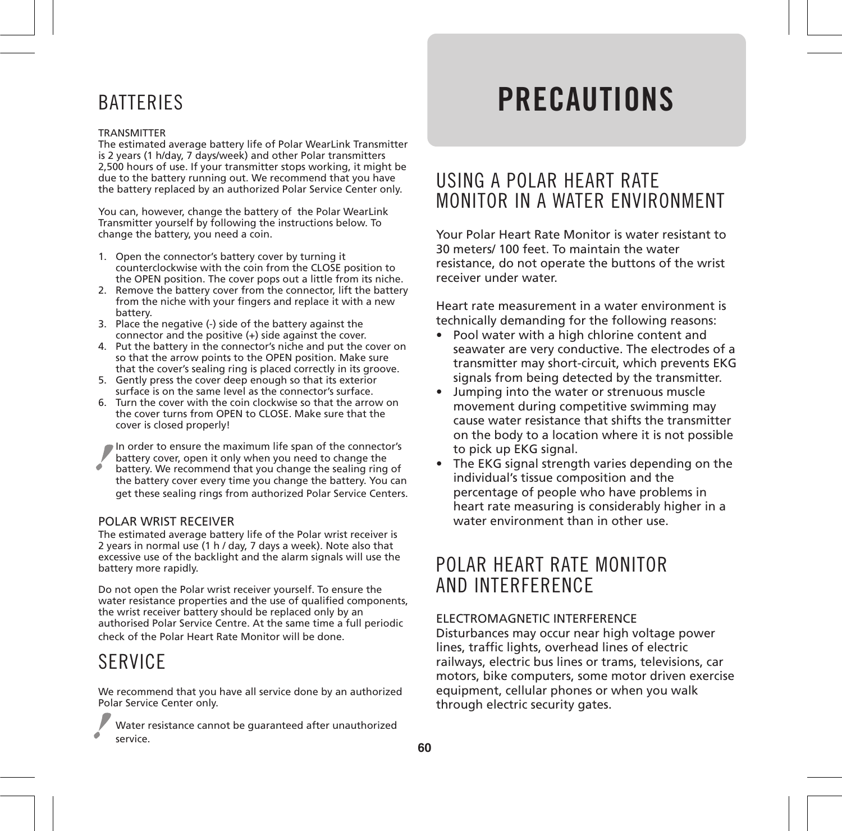### **BATTERIES**

#### TRANSMITTER

The estimated average battery life of Polar WearLink Transmitter is 2 years (1 h/day, 7 days/week) and other Polar transmitters 2,500 hours of use. If your transmitter stops working, it might be due to the battery running out. We recommend that you have the battery replaced by an authorized Polar Service Center only.

You can, however, change the battery of the Polar WearLink Transmitter yourself by following the instructions below. To change the battery, you need a coin.

- 1. Open the connector's battery cover by turning it counterclockwise with the coin from the CLOSE position to the OPEN position. The cover pops out a little from its niche.
- 2. Remove the battery cover from the connector, lift the battery from the niche with your fingers and replace it with a new battery.
- 3. Place the negative (-) side of the battery against the connector and the positive (+) side against the cover.
- 4. Put the battery in the connector's niche and put the cover on so that the arrow points to the OPEN position. Make sure that the cover's sealing ring is placed correctly in its groove.
- 5. Gently press the cover deep enough so that its exterior surface is on the same level as the connector's surface.
- 6. Turn the cover with the coin clockwise so that the arrow on the cover turns from OPEN to CLOSE. Make sure that the cover is closed properly!

In order to ensure the maximum life span of the connector's battery cover, open it only when you need to change the battery. We recommend that you change the sealing ring of the battery cover every time you change the battery. You can get these sealing rings from authorized Polar Service Centers.

#### POLAR WRIST RECEIVER

The estimated average battery life of the Polar wrist receiver is 2 years in normal use (1 h / day, 7 days a week). Note also that excessive use of the backlight and the alarm signals will use the battery more rapidly.

Do not open the Polar wrist receiver yourself. To ensure the water resistance properties and the use of qualified components, the wrist receiver battery should be replaced only by an authorised Polar Service Centre. At the same time a full periodic check of the Polar Heart Rate Monitor will be done.

### **SERVICE**

We recommend that you have all service done by an authorized Polar Service Center only.

Water resistance cannot be guaranteed after unauthorized service.

## **PRECAUTIONS**

### USING A POLAR HEART RATE MONITOR IN A WATER ENVIRONMENT

Your Polar Heart Rate Monitor is water resistant to 30 meters/ 100 feet. To maintain the water resistance, do not operate the buttons of the wrist receiver under water.

Heart rate measurement in a water environment is technically demanding for the following reasons:

- Pool water with a high chlorine content and seawater are very conductive. The electrodes of a transmitter may short-circuit, which prevents EKG signals from being detected by the transmitter.
- Jumping into the water or strenuous muscle movement during competitive swimming may cause water resistance that shifts the transmitter on the body to a location where it is not possible to pick up EKG signal.
- The EKG signal strength varies depending on the individual's tissue composition and the percentage of people who have problems in heart rate measuring is considerably higher in a water environment than in other use.

### POLAR HEART RATE MONITOR AND INTERFERENCE

### ELECTROMAGNETIC INTERFERENCE

Disturbances may occur near high voltage power lines, traffic lights, overhead lines of electric railways, electric bus lines or trams, televisions, car motors, bike computers, some motor driven exercise equipment, cellular phones or when you walk through electric security gates.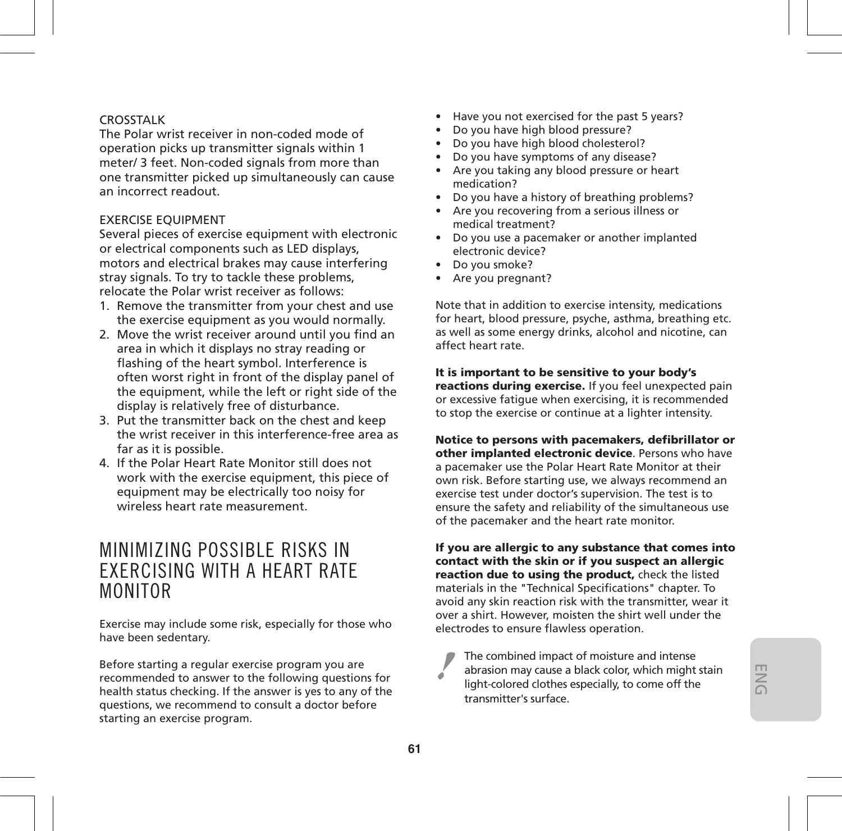### CROSSTALK

The Polar wrist receiver in non-coded mode of operation picks up transmitter signals within 1 meter/ 3 feet. Non-coded signals from more than one transmitter picked up simultaneously can cause an incorrect readout.

#### EXERCISE EQUIPMENT

Several pieces of exercise equipment with electronic or electrical components such as LED displays, motors and electrical brakes may cause interfering stray signals. To try to tackle these problems, relocate the Polar wrist receiver as follows:

- 1. Remove the transmitter from your chest and use the exercise equipment as you would normally.
- 2. Move the wrist receiver around until you find an area in which it displays no stray reading or flashing of the heart symbol. Interference is often worst right in front of the display panel of the equipment, while the left or right side of the display is relatively free of disturbance.
- 3. Put the transmitter back on the chest and keep the wrist receiver in this interference-free area as far as it is possible.
- 4. If the Polar Heart Rate Monitor still does not work with the exercise equipment, this piece of equipment may be electrically too noisy for wireless heart rate measurement.

### MINIMIZING POSSIBLE RISKS IN EXERCISING WITH A HEART RATE MONITOR

Exercise may include some risk, especially for those who have been sedentary.

Before starting a regular exercise program you are recommended to answer to the following questions for health status checking. If the answer is yes to any of the questions, we recommend to consult a doctor before starting an exercise program.

- Have you not exercised for the past 5 years?
- Do you have high blood pressure?
- Do you have high blood cholesterol?
- Do you have symptoms of any disease?
- Are you taking any blood pressure or heart medication?
- Do you have a history of breathing problems?
- Are you recovering from a serious illness or medical treatment?
- Do you use a pacemaker or another implanted electronic device?
- Do you smoke?
- Are you pregnant?

Note that in addition to exercise intensity, medications for heart, blood pressure, psyche, asthma, breathing etc. as well as some energy drinks, alcohol and nicotine, can affect heart rate.

**It is important to be sensitive to your body's reactions during exercise.** If you feel unexpected pain or excessive fatigue when exercising, it is recommended to stop the exercise or continue at a lighter intensity.

**Notice to persons with pacemakers, defibrillator or other implanted electronic device**. Persons who have a pacemaker use the Polar Heart Rate Monitor at their own risk. Before starting use, we always recommend an exercise test under doctor's supervision. The test is to ensure the safety and reliability of the simultaneous use of the pacemaker and the heart rate monitor.

**If you are allergic to any substance that comes into contact with the skin or if you suspect an allergic reaction due to using the product,** check the listed materials in the "Technical Specifications" chapter. To avoid any skin reaction risk with the transmitter, wear it over a shirt. However, moisten the shirt well under the electrodes to ensure flawless operation.

The combined impact of moisture and intense abrasion may cause a black color, which might stain light-colored clothes especially, to come off the transmitter's surface.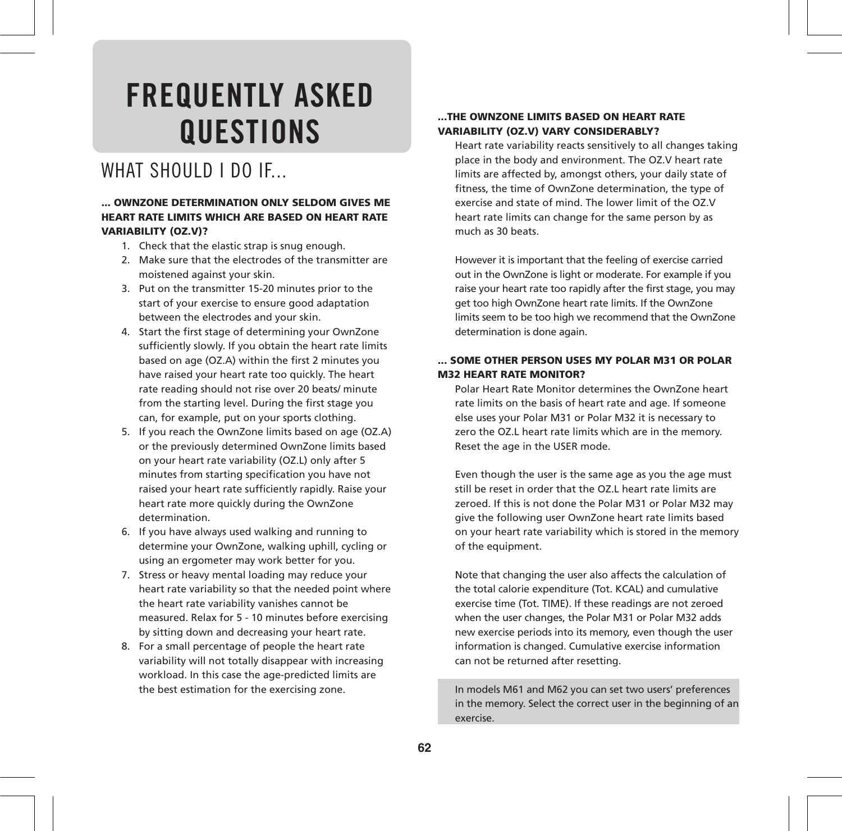## **FREQUENTLY ASKED QUESTIONS**

### WHAT SHOULD LDO IF.

#### **... OWNZONE DETERMINATION ONLY SELDOM GIVES ME HEART RATE LIMITS WHICH ARE BASED ON HEART RATE VARIABILITY (OZ.V)?**

- 1. Check that the elastic strap is snug enough.
- 2. Make sure that the electrodes of the transmitter are moistened against your skin.
- 3. Put on the transmitter 15-20 minutes prior to the start of your exercise to ensure good adaptation between the electrodes and your skin.
- 4. Start the first stage of determining your OwnZone sufficiently slowly. If you obtain the heart rate limits based on age (OZ.A) within the first 2 minutes you have raised your heart rate too quickly. The heart rate reading should not rise over 20 beats/ minute from the starting level. During the first stage you can, for example, put on your sports clothing.
- 5. If you reach the OwnZone limits based on age (OZ.A) or the previously determined OwnZone limits based on your heart rate variability (OZ.L) only after 5 minutes from starting specification you have not raised your heart rate sufficiently rapidly. Raise your heart rate more quickly during the OwnZone determination.
- 6. If you have always used walking and running to determine your OwnZone, walking uphill, cycling or using an ergometer may work better for you.
- 7. Stress or heavy mental loading may reduce your heart rate variability so that the needed point where the heart rate variability vanishes cannot be measured. Relax for 5 - 10 minutes before exercising by sitting down and decreasing your heart rate.
- 8. For a small percentage of people the heart rate variability will not totally disappear with increasing workload. In this case the age-predicted limits are the best estimation for the exercising zone.

#### **...THE OWNZONE LIMITS BASED ON HEART RATE VARIABILITY (OZ.V) VARY CONSIDERABLY?**

Heart rate variability reacts sensitively to all changes taking place in the body and environment. The OZ.V heart rate limits are affected by, amongst others, your daily state of fitness, the time of OwnZone determination, the type of exercise and state of mind. The lower limit of the OZ.V heart rate limits can change for the same person by as much as 30 beats.

However it is important that the feeling of exercise carried out in the OwnZone is light or moderate. For example if you raise your heart rate too rapidly after the first stage, you may get too high OwnZone heart rate limits. If the OwnZone limits seem to be too high we recommend that the OwnZone determination is done again.

#### **... SOME OTHER PERSON USES MY POLAR M31 OR POLAR M32 HEART RATE MONITOR?**

Polar Heart Rate Monitor determines the OwnZone heart rate limits on the basis of heart rate and age. If someone else uses your Polar M31 or Polar M32 it is necessary to zero the OZ.L heart rate limits which are in the memory. Reset the age in the USER mode.

Even though the user is the same age as you the age must still be reset in order that the OZ.L heart rate limits are zeroed. If this is not done the Polar M31 or Polar M32 may give the following user OwnZone heart rate limits based on your heart rate variability which is stored in the memory of the equipment.

Note that changing the user also affects the calculation of the total calorie expenditure (Tot. KCAL) and cumulative exercise time (Tot. TIME). If these readings are not zeroed when the user changes, the Polar M31 or Polar M32 adds new exercise periods into its memory, even though the user information is changed. Cumulative exercise information can not be returned after resetting.

In models M61 and M62 you can set two users' preferences in the memory. Select the correct user in the beginning of an exercise.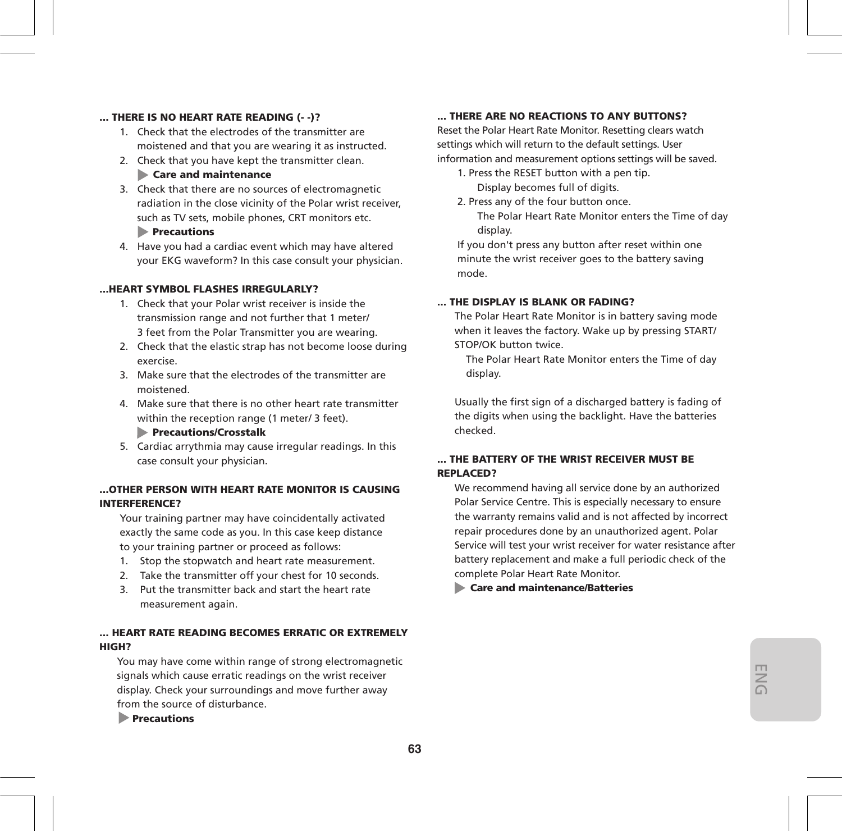#### **... THERE IS NO HEART RATE READING (- -)?**

- 1. Check that the electrodes of the transmitter are moistened and that you are wearing it as instructed.
- 2. Check that you have kept the transmitter clean.

#### **Care and maintenance**

- 3. Check that there are no sources of electromagnetic radiation in the close vicinity of the Polar wrist receiver, such as TV sets, mobile phones, CRT monitors etc.  **Precautions**
- 4. Have you had a cardiac event which may have altered your EKG waveform? In this case consult your physician.

#### **...HEART SYMBOL FLASHES IRREGULARLY?**

- 1. Check that your Polar wrist receiver is inside the transmission range and not further that 1 meter/ 3 feet from the Polar Transmitter you are wearing.
- 2. Check that the elastic strap has not become loose during exercise.
- 3. Make sure that the electrodes of the transmitter are moistened.
- 4. Make sure that there is no other heart rate transmitter within the reception range (1 meter/ 3 feet).

#### **Precautions/Crosstalk**

5. Cardiac arrythmia may cause irregular readings. In this case consult your physician.

#### **...OTHER PERSON WITH HEART RATE MONITOR IS CAUSING INTERFERENCE?**

Your training partner may have coincidentally activated exactly the same code as you. In this case keep distance to your training partner or proceed as follows:

- 1. Stop the stopwatch and heart rate measurement.
- 2. Take the transmitter off your chest for 10 seconds.
- 3. Put the transmitter back and start the heart rate measurement again.

#### **... HEART RATE READING BECOMES ERRATIC OR EXTREMELY HIGH?**

You may have come within range of strong electromagnetic signals which cause erratic readings on the wrist receiver display. Check your surroundings and move further away from the source of disturbance.

 **Precautions**

#### **... THERE ARE NO REACTIONS TO ANY BUTTONS?**

Reset the Polar Heart Rate Monitor. Resetting clears watch settings which will return to the default settings. User information and measurement options settings will be saved.

- 1. Press the RESET button with a pen tip. Display becomes full of digits.
- 2. Press any of the four button once.

 The Polar Heart Rate Monitor enters the Time of day display.

If you don't press any button after reset within one minute the wrist receiver goes to the battery saving mode.

#### **... THE DISPLAY IS BLANK OR FADING?**

The Polar Heart Rate Monitor is in battery saving mode when it leaves the factory. Wake up by pressing START/ STOP/OK button twice.

The Polar Heart Rate Monitor enters the Time of day display.

Usually the first sign of a discharged battery is fading of the digits when using the backlight. Have the batteries checked.

#### **... THE BATTERY OF THE WRIST RECEIVER MUST BE REPLACED?**

We recommend having all service done by an authorized Polar Service Centre. This is especially necessary to ensure the warranty remains valid and is not affected by incorrect repair procedures done by an unauthorized agent. Polar Service will test your wrist receiver for water resistance after battery replacement and make a full periodic check of the complete Polar Heart Rate Monitor.

 **Care and maintenance/Batteries**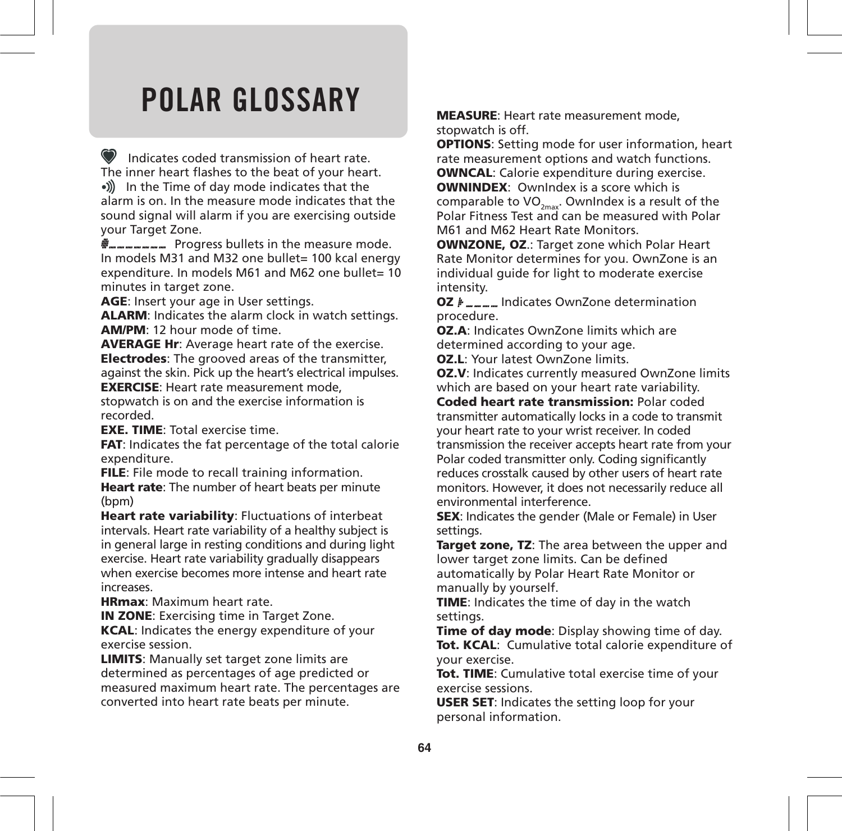## **POLAR GLOSSARY**

 Indicates coded transmission of heart rate. The inner heart flashes to the beat of your heart. •)) In the Time of day mode indicates that the alarm is on. In the measure mode indicates that the sound signal will alarm if you are exercising outside your Target Zone.

**P**<sub>mmmmm</sub> Progress bullets in the measure mode. In models M31 and M32 one bullet= 100 kcal energy expenditure. In models M61 and M62 one bullet= 10 minutes in target zone.

**AGE**: Insert your age in User settings.

**ALARM**: Indicates the alarm clock in watch settings. **AM/PM**: 12 hour mode of time.

**AVERAGE Hr**: Average heart rate of the exercise. **Electrodes**: The grooved areas of the transmitter, against the skin. Pick up the heart's electrical impulses.

**EXERCISE**: Heart rate measurement mode, stopwatch is on and the exercise information is recorded.

**EXE. TIME**: Total exercise time.

**FAT**: Indicates the fat percentage of the total calorie expenditure.

**FILE**: File mode to recall training information.

**Heart rate**: The number of heart beats per minute (bpm)

**Heart rate variability**: Fluctuations of interbeat intervals. Heart rate variability of a healthy subject is in general large in resting conditions and during light exercise. Heart rate variability gradually disappears when exercise becomes more intense and heart rate increases.

**HRmax**: Maximum heart rate.

**IN ZONE:** Exercising time in Target Zone. **KCAL**: Indicates the energy expenditure of your exercise session.

**LIMITS**: Manually set target zone limits are determined as percentages of age predicted or measured maximum heart rate. The percentages are converted into heart rate beats per minute.

**MEASURE**: Heart rate measurement mode, stopwatch is off.

**OPTIONS**: Setting mode for user information, heart rate measurement options and watch functions.

**OWNCAL**: Calorie expenditure during exercise.

**OWNINDEX**: OwnIndex is a score which is comparable to  $VO_{2m\alpha}$ . OwnIndex is a result of the Polar Fitness Test and can be measured with Polar M61 and M62 Heart Rate Monitors.

**OWNZONE, OZ**.: Target zone which Polar Heart Rate Monitor determines for you. OwnZone is an individual guide for light to moderate exercise intensity.

**OZ**  $\mu$ <sub>m</sub><sub>m</sub><sub>m</sub><sub>m</sub><sub>m</sub></del> Indicates OwnZone determination procedure.

**OZ.A**: Indicates OwnZone limits which are determined according to your age.

**OZ.L**: Your latest OwnZone limits.

**OZ.V**: Indicates currently measured OwnZone limits which are based on your heart rate variability.

**Coded heart rate transmission:** Polar coded transmitter automatically locks in a code to transmit your heart rate to your wrist receiver. In coded transmission the receiver accepts heart rate from your Polar coded transmitter only. Coding significantly reduces crosstalk caused by other users of heart rate monitors. However, it does not necessarily reduce all environmental interference.

**SEX**: Indicates the gender (Male or Female) in User settings.

**Target zone, TZ**: The area between the upper and lower target zone limits. Can be defined automatically by Polar Heart Rate Monitor or manually by yourself.

**TIME**: Indicates the time of day in the watch settings.

**Time of day mode**: Display showing time of day. **Tot. KCAL**: Cumulative total calorie expenditure of your exercise.

**Tot. TIME**: Cumulative total exercise time of your exercise sessions.

**USER SET**: Indicates the setting loop for your personal information.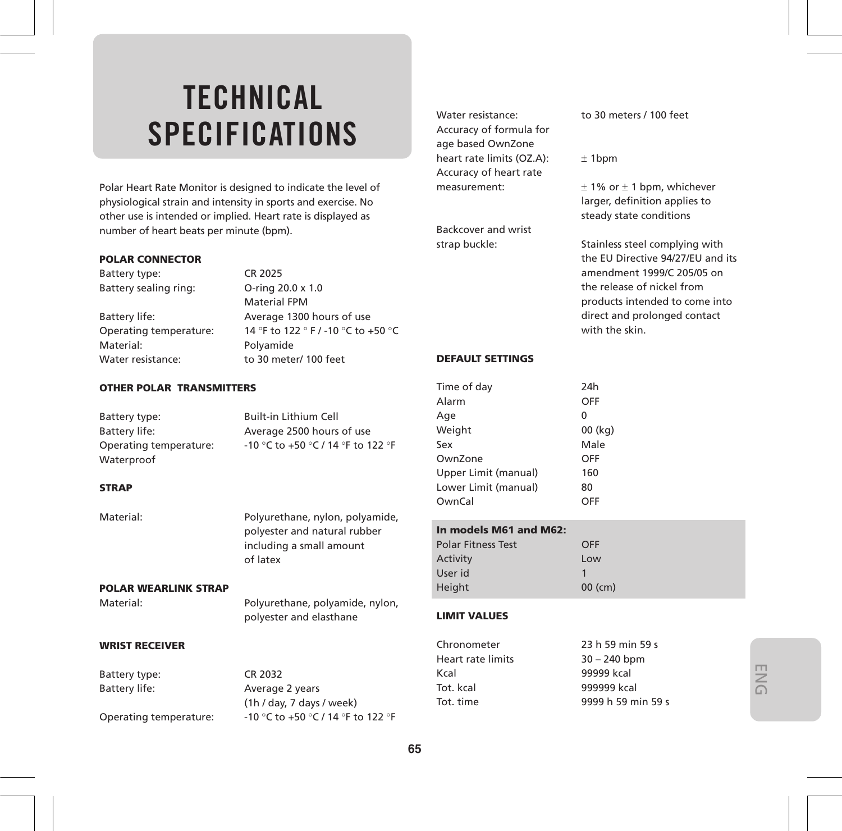## **TECHNICAL SPECIFICATIONS**

Polar Heart Rate Monitor is designed to indicate the level of physiological strain and intensity in sports and exercise. No other use is intended or implied. Heart rate is displayed as number of heart beats per minute (bpm).

#### **POLAR CONNECTOR**

Battery type: CR 2025 Battery sealing ring: O-ring 20.0 x 1.0

Material: Polyamide Water resistance: to 30 meter/ 100 feet

Material FPM Battery life: Average 1300 hours of use Operating temperature: 14 °F to 122 ° F / -10 °C to +50 °C

#### **OTHER POLAR TRANSMITTERS**

| Battery type:          | <b>Built-in Lithium Cell</b>       |
|------------------------|------------------------------------|
| Battery life:          | Average 2500 hours of use          |
| Operating temperature: | -10 °C to +50 °C / 14 °F to 122 °F |
| Waterproof             |                                    |
|                        |                                    |

#### **STRAP**

Material: Polyurethane, nylon, polyamide, polyester and natural rubber including a small amount of latex

#### **POLAR WEARLINK STRAP**

Material: Polyurethane, polyamide, nylon, polyester and elasthane

#### **WRIST RECEIVER**

|                        |                                    | Heart rate limits | 30 – 240 ppm       |
|------------------------|------------------------------------|-------------------|--------------------|
| Battery type:          | CR 2032                            | Kral              | 99999 kcal         |
| Battery life:          | Average 2 years                    | Tot. kcal         | 999999 kcal        |
|                        | (1h / day, 7 days / week)          | Tot. time         | 9999 h 59 min 59 s |
| Operating temperature: | -10 °C to +50 °C / 14 °F to 122 °F |                   |                    |

**65**

Accuracy of formula for age based OwnZone heart rate limits (OZ.A):  $\pm$  1bpm Accuracy of heart rate measurement:  $\pm 1\%$  or  $\pm 1$  bpm, whichever

Backcover and wrist

#### Water resistance: to 30 meters / 100 feet

larger, definition applies to steady state conditions

strap buckle: Stainless steel complying with the EU Directive 94/27/EU and its amendment 1999/C 205/05 on the release of nickel from products intended to come into direct and prolonged contact with the skin.

#### **DEFAULT SETTINGS**

| Time of day          | 24h      |
|----------------------|----------|
| Alarm                | OFF      |
| Age                  | $\Omega$ |
| Weight               | 00 (kg)  |
| Sex                  | Male     |
| OwnZone              | OFF      |
| Upper Limit (manual) | 160      |
| Lower Limit (manual) | 80       |
| OwnCal               | OFF      |
|                      |          |

#### **In models M61 and M62:**

| <b>Polar Fitness Test</b> | OFF     |
|---------------------------|---------|
| Activity                  | Low     |
| User id                   |         |
| <b>Height</b>             | 00 (cm) |

#### **LIMIT VALUES**

| 23 h 59 min 59 s   |
|--------------------|
| $30 - 240$ bpm     |
| 99999 kcal         |
| 999999 kcal        |
| 9999 h 59 min 59 s |
|                    |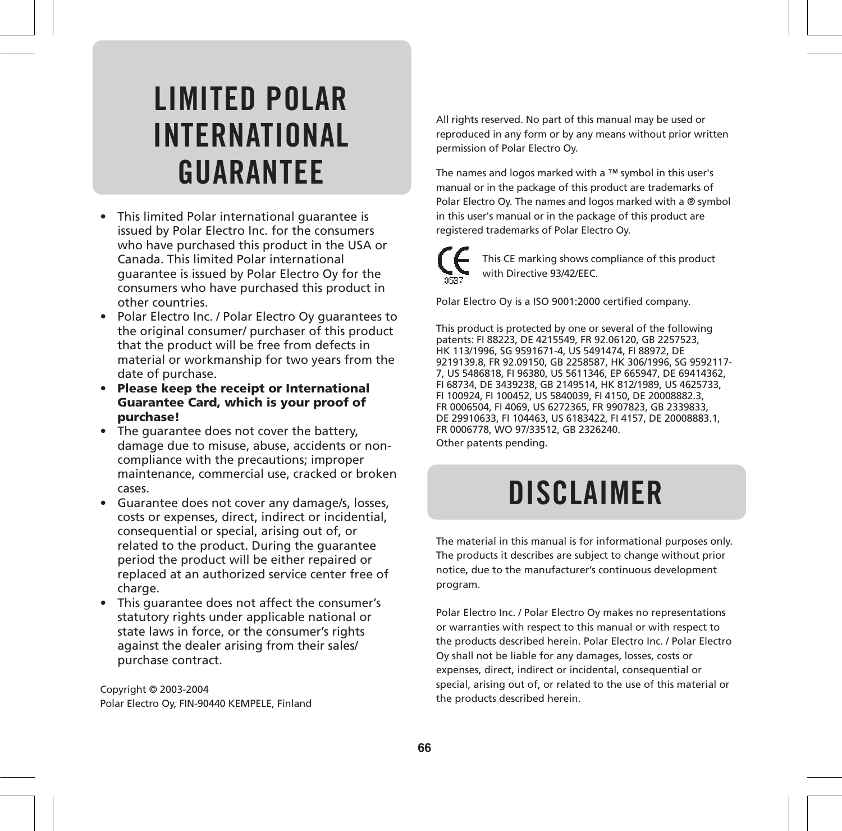## **LIMITED POLAR INTERNATIONAL GUARANTEE**

- This limited Polar international guarantee is issued by Polar Electro Inc. for the consumers who have purchased this product in the USA or Canada. This limited Polar international guarantee is issued by Polar Electro Oy for the consumers who have purchased this product in other countries.
- Polar Electro Inc. / Polar Electro Oy guarantees to the original consumer/ purchaser of this product that the product will be free from defects in material or workmanship for two years from the date of purchase.
- **Please keep the receipt or International Guarantee Card, which is your proof of purchase!**
- The guarantee does not cover the battery. damage due to misuse, abuse, accidents or noncompliance with the precautions; improper maintenance, commercial use, cracked or broken cases.
- Guarantee does not cover any damage/s, losses, costs or expenses, direct, indirect or incidential, consequential or special, arising out of, or related to the product. During the guarantee period the product will be either repaired or replaced at an authorized service center free of charge.
- This guarantee does not affect the consumer's statutory rights under applicable national or state laws in force, or the consumer's rights against the dealer arising from their sales/ purchase contract.

Copyright © 2003-2004 Polar Electro Oy, FIN-90440 KEMPELE, Finland All rights reserved. No part of this manual may be used or reproduced in any form or by any means without prior written permission of Polar Electro Oy.

The names and logos marked with a ™ symbol in this user's manual or in the package of this product are trademarks of Polar Electro Oy. The names and logos marked with a ® symbol in this user's manual or in the package of this product are registered trademarks of Polar Electro Oy.

This CE marking shows compliance of this product with Directive 93/42/EEC.

Polar Electro Oy is a ISO 9001:2000 certified company.

This product is protected by one or several of the following patents: FI 88223, DE 4215549, FR 92.06120, GB 2257523, HK 113/1996, SG 9591671-4, US 5491474, FI 88972, DE 9219139.8, FR 92.09150, GB 2258587, HK 306/1996, SG 9592117- 7, US 5486818, FI 96380, US 5611346, EP 665947, DE 69414362, FI 68734, DE 3439238, GB 2149514, HK 812/1989, US 4625733, FI 100924, FI 100452, US 5840039, FI 4150, DE 20008882.3, FR 0006504, FI 4069, US 6272365, FR 9907823, GB 2339833, DE 29910633, FI 104463, US 6183422, FI 4157, DE 20008883.1, FR 0006778, WO 97/33512, GB 2326240.

Other patents pending.

## **DISCLAIMER**

The material in this manual is for informational purposes only. The products it describes are subject to change without prior notice, due to the manufacturer's continuous development program.

Polar Electro Inc. / Polar Electro Oy makes no representations or warranties with respect to this manual or with respect to the products described herein. Polar Electro Inc. / Polar Electro Oy shall not be liable for any damages, losses, costs or expenses, direct, indirect or incidental, consequential or special, arising out of, or related to the use of this material or the products described herein.